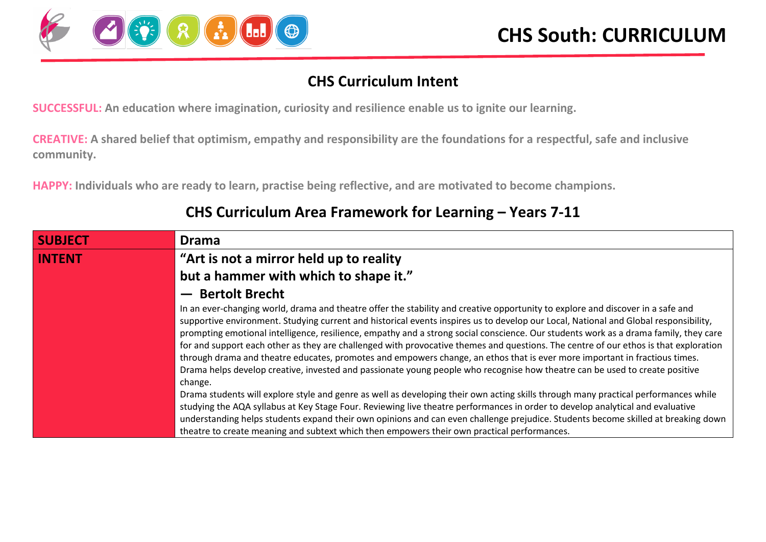

#### **CHS Curriculum Intent**

**SUCCESSFUL: An education where imagination, curiosity and resilience enable us to ignite our learning.**

**CREATIVE: A shared belief that optimism, empathy and responsibility are the foundations for a respectful, safe and inclusive community.**

**HAPPY: Individuals who are ready to learn, practise being reflective, and are motivated to become champions.**

| <b>SUBJECT</b> | <b>Drama</b>                                                                                                                                                                                                                                                                                                                                                                                                                                                                                                                                                                                                                                                                                                                                                                                                                    |
|----------------|---------------------------------------------------------------------------------------------------------------------------------------------------------------------------------------------------------------------------------------------------------------------------------------------------------------------------------------------------------------------------------------------------------------------------------------------------------------------------------------------------------------------------------------------------------------------------------------------------------------------------------------------------------------------------------------------------------------------------------------------------------------------------------------------------------------------------------|
| <b>INTENT</b>  | "Art is not a mirror held up to reality"                                                                                                                                                                                                                                                                                                                                                                                                                                                                                                                                                                                                                                                                                                                                                                                        |
|                | but a hammer with which to shape it."                                                                                                                                                                                                                                                                                                                                                                                                                                                                                                                                                                                                                                                                                                                                                                                           |
|                | - Bertolt Brecht                                                                                                                                                                                                                                                                                                                                                                                                                                                                                                                                                                                                                                                                                                                                                                                                                |
|                | In an ever-changing world, drama and theatre offer the stability and creative opportunity to explore and discover in a safe and<br>supportive environment. Studying current and historical events inspires us to develop our Local, National and Global responsibility,<br>prompting emotional intelligence, resilience, empathy and a strong social conscience. Our students work as a drama family, they care<br>for and support each other as they are challenged with provocative themes and questions. The centre of our ethos is that exploration<br>through drama and theatre educates, promotes and empowers change, an ethos that is ever more important in fractious times.<br>Drama helps develop creative, invested and passionate young people who recognise how theatre can be used to create positive<br>change. |
|                | Drama students will explore style and genre as well as developing their own acting skills through many practical performances while<br>studying the AQA syllabus at Key Stage Four. Reviewing live theatre performances in order to develop analytical and evaluative                                                                                                                                                                                                                                                                                                                                                                                                                                                                                                                                                           |
|                | understanding helps students expand their own opinions and can even challenge prejudice. Students become skilled at breaking down<br>theatre to create meaning and subtext which then empowers their own practical performances.                                                                                                                                                                                                                                                                                                                                                                                                                                                                                                                                                                                                |

#### **CHS Curriculum Area Framework for Learning – Years 7-11**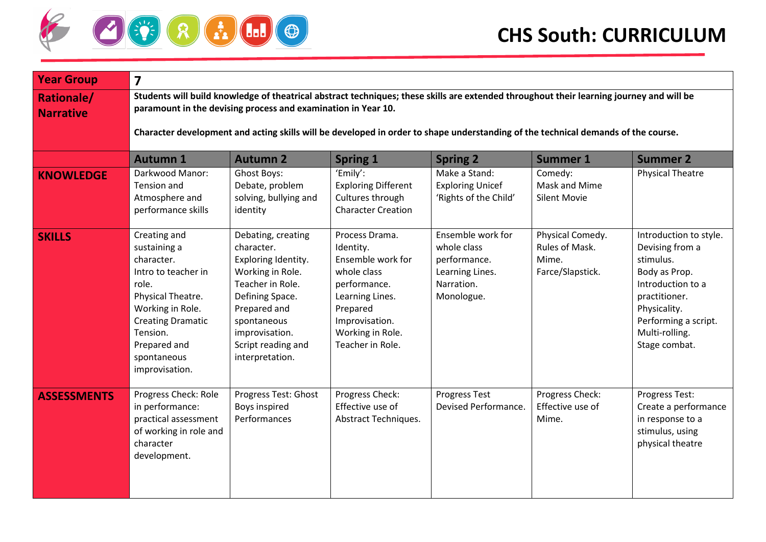

| <b>Year Group</b>                     | $\overline{\mathbf{z}}$                                                                                                                                                                                                                                                                                                                        |                                                                                                                                                                                                              |                                                                                                                                                                          |                                                                                                 |                                                                 |                                                                                                                                                                                          |  |  |
|---------------------------------------|------------------------------------------------------------------------------------------------------------------------------------------------------------------------------------------------------------------------------------------------------------------------------------------------------------------------------------------------|--------------------------------------------------------------------------------------------------------------------------------------------------------------------------------------------------------------|--------------------------------------------------------------------------------------------------------------------------------------------------------------------------|-------------------------------------------------------------------------------------------------|-----------------------------------------------------------------|------------------------------------------------------------------------------------------------------------------------------------------------------------------------------------------|--|--|
| <b>Rationale/</b><br><b>Narrative</b> | Students will build knowledge of theatrical abstract techniques; these skills are extended throughout their learning journey and will be<br>paramount in the devising process and examination in Year 10.<br>Character development and acting skills will be developed in order to shape understanding of the technical demands of the course. |                                                                                                                                                                                                              |                                                                                                                                                                          |                                                                                                 |                                                                 |                                                                                                                                                                                          |  |  |
|                                       |                                                                                                                                                                                                                                                                                                                                                |                                                                                                                                                                                                              |                                                                                                                                                                          |                                                                                                 |                                                                 |                                                                                                                                                                                          |  |  |
|                                       | <b>Autumn 1</b>                                                                                                                                                                                                                                                                                                                                | <b>Autumn 2</b>                                                                                                                                                                                              | <b>Spring 1</b>                                                                                                                                                          | <b>Spring 2</b>                                                                                 | <b>Summer 1</b>                                                 | <b>Summer 2</b>                                                                                                                                                                          |  |  |
| <b>KNOWLEDGE</b>                      | Darkwood Manor:<br>Tension and<br>Atmosphere and<br>performance skills                                                                                                                                                                                                                                                                         | Ghost Boys:<br>Debate, problem<br>solving, bullying and<br>identity                                                                                                                                          | 'Emily':<br><b>Exploring Different</b><br>Cultures through<br><b>Character Creation</b>                                                                                  | Make a Stand:<br><b>Exploring Unicef</b><br>'Rights of the Child'                               | Comedy:<br>Mask and Mime<br><b>Silent Movie</b>                 | <b>Physical Theatre</b>                                                                                                                                                                  |  |  |
| <b>SKILLS</b>                         | Creating and<br>sustaining a<br>character.<br>Intro to teacher in<br>role.<br>Physical Theatre.<br>Working in Role.<br><b>Creating Dramatic</b><br>Tension.<br>Prepared and<br>spontaneous<br>improvisation.                                                                                                                                   | Debating, creating<br>character.<br>Exploring Identity.<br>Working in Role.<br>Teacher in Role.<br>Defining Space.<br>Prepared and<br>spontaneous<br>improvisation.<br>Script reading and<br>interpretation. | Process Drama.<br>Identity.<br>Ensemble work for<br>whole class<br>performance.<br>Learning Lines.<br>Prepared<br>Improvisation.<br>Working in Role.<br>Teacher in Role. | Ensemble work for<br>whole class<br>performance.<br>Learning Lines.<br>Narration.<br>Monologue. | Physical Comedy.<br>Rules of Mask.<br>Mime.<br>Farce/Slapstick. | Introduction to style.<br>Devising from a<br>stimulus.<br>Body as Prop.<br>Introduction to a<br>practitioner.<br>Physicality.<br>Performing a script.<br>Multi-rolling.<br>Stage combat. |  |  |
| <b>ASSESSMENTS</b>                    | Progress Check: Role<br>in performance:<br>practical assessment<br>of working in role and<br>character<br>development.                                                                                                                                                                                                                         | Progress Test: Ghost<br><b>Boys inspired</b><br>Performances                                                                                                                                                 | Progress Check:<br>Effective use of<br>Abstract Techniques.                                                                                                              | Progress Test<br>Devised Performance.                                                           | Progress Check:<br>Effective use of<br>Mime.                    | Progress Test:<br>Create a performance<br>in response to a<br>stimulus, using<br>physical theatre                                                                                        |  |  |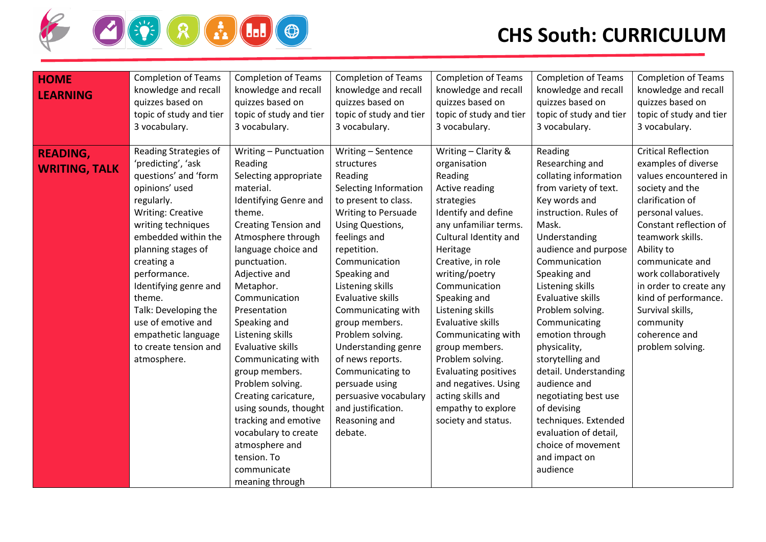

| <b>HOME</b><br><b>LEARNING</b>          | <b>Completion of Teams</b><br>knowledge and recall<br>quizzes based on<br>topic of study and tier<br>3 vocabulary.                                                                                                                                                                                                                                                               | <b>Completion of Teams</b><br>knowledge and recall<br>quizzes based on<br>topic of study and tier<br>3 vocabulary.                                                                                                                                                                                                                                                                                                                                                                                                                                            | <b>Completion of Teams</b><br>knowledge and recall<br>quizzes based on<br>topic of study and tier<br>3 vocabulary.                                                                                                                                                                                                                                                                                                                                                              | <b>Completion of Teams</b><br>knowledge and recall<br>quizzes based on<br>topic of study and tier<br>3 vocabulary.                                                                                                                                                                                                                                                                                                                                                        | <b>Completion of Teams</b><br>knowledge and recall<br>quizzes based on<br>topic of study and tier<br>3 vocabulary.                                                                                                                                                                                                                                                                                                                                                                                                                 | <b>Completion of Teams</b><br>knowledge and recall<br>quizzes based on<br>topic of study and tier<br>3 vocabulary.                                                                                                                                                                                                                                                   |
|-----------------------------------------|----------------------------------------------------------------------------------------------------------------------------------------------------------------------------------------------------------------------------------------------------------------------------------------------------------------------------------------------------------------------------------|---------------------------------------------------------------------------------------------------------------------------------------------------------------------------------------------------------------------------------------------------------------------------------------------------------------------------------------------------------------------------------------------------------------------------------------------------------------------------------------------------------------------------------------------------------------|---------------------------------------------------------------------------------------------------------------------------------------------------------------------------------------------------------------------------------------------------------------------------------------------------------------------------------------------------------------------------------------------------------------------------------------------------------------------------------|---------------------------------------------------------------------------------------------------------------------------------------------------------------------------------------------------------------------------------------------------------------------------------------------------------------------------------------------------------------------------------------------------------------------------------------------------------------------------|------------------------------------------------------------------------------------------------------------------------------------------------------------------------------------------------------------------------------------------------------------------------------------------------------------------------------------------------------------------------------------------------------------------------------------------------------------------------------------------------------------------------------------|----------------------------------------------------------------------------------------------------------------------------------------------------------------------------------------------------------------------------------------------------------------------------------------------------------------------------------------------------------------------|
| <b>READING,</b><br><b>WRITING, TALK</b> | Reading Strategies of<br>'predicting', 'ask<br>questions' and 'form<br>opinions' used<br>regularly.<br><b>Writing: Creative</b><br>writing techniques<br>embedded within the<br>planning stages of<br>creating a<br>performance.<br>Identifying genre and<br>theme.<br>Talk: Developing the<br>use of emotive and<br>empathetic language<br>to create tension and<br>atmosphere. | Writing - Punctuation<br>Reading<br>Selecting appropriate<br>material.<br>Identifying Genre and<br>theme.<br><b>Creating Tension and</b><br>Atmosphere through<br>language choice and<br>punctuation.<br>Adjective and<br>Metaphor.<br>Communication<br>Presentation<br>Speaking and<br>Listening skills<br>Evaluative skills<br>Communicating with<br>group members.<br>Problem solving.<br>Creating caricature,<br>using sounds, thought<br>tracking and emotive<br>vocabulary to create<br>atmosphere and<br>tension. To<br>communicate<br>meaning through | Writing - Sentence<br>structures<br>Reading<br>Selecting Information<br>to present to class.<br><b>Writing to Persuade</b><br>Using Questions,<br>feelings and<br>repetition.<br>Communication<br>Speaking and<br>Listening skills<br>Evaluative skills<br>Communicating with<br>group members.<br>Problem solving.<br>Understanding genre<br>of news reports.<br>Communicating to<br>persuade using<br>persuasive vocabulary<br>and justification.<br>Reasoning and<br>debate. | Writing - Clarity &<br>organisation<br>Reading<br>Active reading<br>strategies<br>Identify and define<br>any unfamiliar terms.<br>Cultural Identity and<br>Heritage<br>Creative, in role<br>writing/poetry<br>Communication<br>Speaking and<br>Listening skills<br>Evaluative skills<br>Communicating with<br>group members.<br>Problem solving.<br><b>Evaluating positives</b><br>and negatives. Using<br>acting skills and<br>empathy to explore<br>society and status. | Reading<br>Researching and<br>collating information<br>from variety of text.<br>Key words and<br>instruction. Rules of<br>Mask.<br>Understanding<br>audience and purpose<br>Communication<br>Speaking and<br>Listening skills<br>Evaluative skills<br>Problem solving.<br>Communicating<br>emotion through<br>physicality,<br>storytelling and<br>detail. Understanding<br>audience and<br>negotiating best use<br>of devising<br>techniques. Extended<br>evaluation of detail,<br>choice of movement<br>and impact on<br>audience | <b>Critical Reflection</b><br>examples of diverse<br>values encountered in<br>society and the<br>clarification of<br>personal values.<br>Constant reflection of<br>teamwork skills.<br>Ability to<br>communicate and<br>work collaboratively<br>in order to create any<br>kind of performance.<br>Survival skills,<br>community<br>coherence and<br>problem solving. |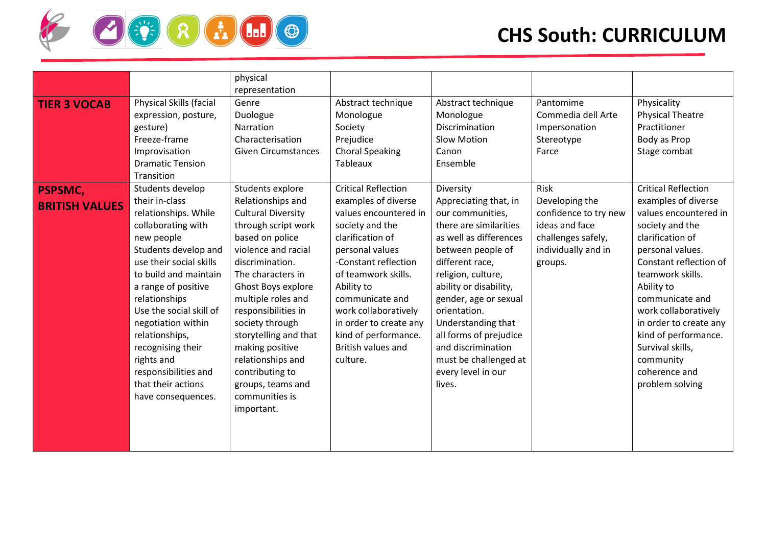

|                                         |                                                                                                                                                                                                                                                                                                                                                                                              | physical<br>representation                                                                                                                                                                                                                                                                                                                                                                                        |                                                                                                                                                                                                                                                                                                                                  |                                                                                                                                                                                                                                                                                                                                                                            |                                                                                                                           |                                                                                                                                                                                                                                                                                                                                                                     |
|-----------------------------------------|----------------------------------------------------------------------------------------------------------------------------------------------------------------------------------------------------------------------------------------------------------------------------------------------------------------------------------------------------------------------------------------------|-------------------------------------------------------------------------------------------------------------------------------------------------------------------------------------------------------------------------------------------------------------------------------------------------------------------------------------------------------------------------------------------------------------------|----------------------------------------------------------------------------------------------------------------------------------------------------------------------------------------------------------------------------------------------------------------------------------------------------------------------------------|----------------------------------------------------------------------------------------------------------------------------------------------------------------------------------------------------------------------------------------------------------------------------------------------------------------------------------------------------------------------------|---------------------------------------------------------------------------------------------------------------------------|---------------------------------------------------------------------------------------------------------------------------------------------------------------------------------------------------------------------------------------------------------------------------------------------------------------------------------------------------------------------|
| <b>TIER 3 VOCAB</b>                     | Physical Skills (facial<br>expression, posture,<br>gesture)<br>Freeze-frame<br>Improvisation<br><b>Dramatic Tension</b><br>Transition                                                                                                                                                                                                                                                        | Genre<br>Duologue<br>Narration<br>Characterisation<br><b>Given Circumstances</b>                                                                                                                                                                                                                                                                                                                                  | Abstract technique<br>Monologue<br>Society<br>Prejudice<br><b>Choral Speaking</b><br>Tableaux                                                                                                                                                                                                                                    | Abstract technique<br>Monologue<br>Discrimination<br><b>Slow Motion</b><br>Canon<br>Ensemble                                                                                                                                                                                                                                                                               | Pantomime<br>Commedia dell Arte<br>Impersonation<br>Stereotype<br>Farce                                                   | Physicality<br><b>Physical Theatre</b><br>Practitioner<br>Body as Prop<br>Stage combat                                                                                                                                                                                                                                                                              |
| <b>PSPSMC,</b><br><b>BRITISH VALUES</b> | Students develop<br>their in-class<br>relationships. While<br>collaborating with<br>new people<br>Students develop and<br>use their social skills<br>to build and maintain<br>a range of positive<br>relationships<br>Use the social skill of<br>negotiation within<br>relationships,<br>recognising their<br>rights and<br>responsibilities and<br>that their actions<br>have consequences. | Students explore<br>Relationships and<br><b>Cultural Diversity</b><br>through script work<br>based on police<br>violence and racial<br>discrimination.<br>The characters in<br><b>Ghost Boys explore</b><br>multiple roles and<br>responsibilities in<br>society through<br>storytelling and that<br>making positive<br>relationships and<br>contributing to<br>groups, teams and<br>communities is<br>important. | <b>Critical Reflection</b><br>examples of diverse<br>values encountered in<br>society and the<br>clarification of<br>personal values<br>-Constant reflection<br>of teamwork skills.<br>Ability to<br>communicate and<br>work collaboratively<br>in order to create any<br>kind of performance.<br>British values and<br>culture. | Diversity<br>Appreciating that, in<br>our communities,<br>there are similarities<br>as well as differences<br>between people of<br>different race,<br>religion, culture,<br>ability or disability,<br>gender, age or sexual<br>orientation.<br>Understanding that<br>all forms of prejudice<br>and discrimination<br>must be challenged at<br>every level in our<br>lives. | Risk<br>Developing the<br>confidence to try new<br>ideas and face<br>challenges safely,<br>individually and in<br>groups. | <b>Critical Reflection</b><br>examples of diverse<br>values encountered in<br>society and the<br>clarification of<br>personal values.<br>Constant reflection of<br>teamwork skills.<br>Ability to<br>communicate and<br>work collaboratively<br>in order to create any<br>kind of performance.<br>Survival skills,<br>community<br>coherence and<br>problem solving |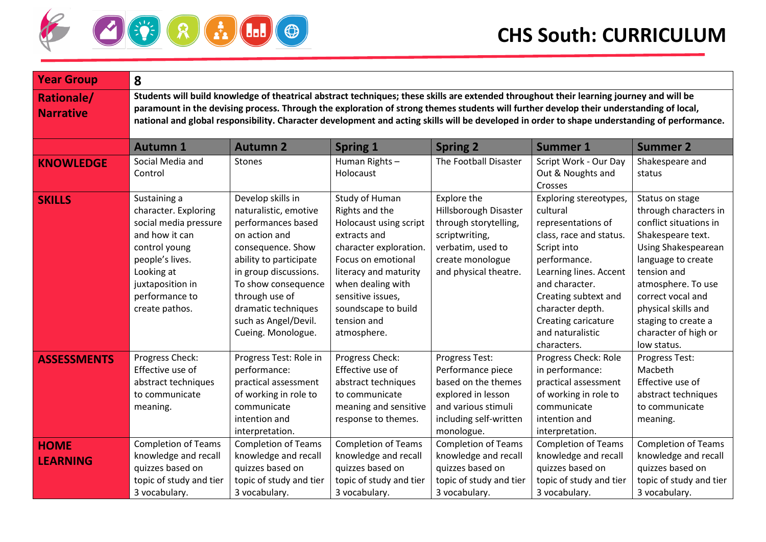

| <b>Year Group</b>                     | 8                                                                                                                                                                                                                                                                                                                                                                                                                                    |                                                                                                                                                                                                                                                                         |                                                                                                                                                                                                                                                    |                                                                                                                                                   |                                                                                                                                                                                                                                                                      |                                                                                                                                                                                                                                                                                     |  |  |
|---------------------------------------|--------------------------------------------------------------------------------------------------------------------------------------------------------------------------------------------------------------------------------------------------------------------------------------------------------------------------------------------------------------------------------------------------------------------------------------|-------------------------------------------------------------------------------------------------------------------------------------------------------------------------------------------------------------------------------------------------------------------------|----------------------------------------------------------------------------------------------------------------------------------------------------------------------------------------------------------------------------------------------------|---------------------------------------------------------------------------------------------------------------------------------------------------|----------------------------------------------------------------------------------------------------------------------------------------------------------------------------------------------------------------------------------------------------------------------|-------------------------------------------------------------------------------------------------------------------------------------------------------------------------------------------------------------------------------------------------------------------------------------|--|--|
| <b>Rationale/</b><br><b>Narrative</b> | Students will build knowledge of theatrical abstract techniques; these skills are extended throughout their learning journey and will be<br>paramount in the devising process. Through the exploration of strong themes students will further develop their understanding of local,<br>national and global responsibility. Character development and acting skills will be developed in order to shape understanding of performance. |                                                                                                                                                                                                                                                                         |                                                                                                                                                                                                                                                    |                                                                                                                                                   |                                                                                                                                                                                                                                                                      |                                                                                                                                                                                                                                                                                     |  |  |
|                                       | <b>Autumn 1</b>                                                                                                                                                                                                                                                                                                                                                                                                                      | <b>Autumn 2</b>                                                                                                                                                                                                                                                         | <b>Spring 1</b>                                                                                                                                                                                                                                    | <b>Spring 2</b>                                                                                                                                   | <b>Summer 1</b>                                                                                                                                                                                                                                                      | <b>Summer 2</b>                                                                                                                                                                                                                                                                     |  |  |
| <b>KNOWLEDGE</b>                      | Social Media and<br>Control                                                                                                                                                                                                                                                                                                                                                                                                          | <b>Stones</b>                                                                                                                                                                                                                                                           | Human Rights-<br>Holocaust                                                                                                                                                                                                                         | The Football Disaster                                                                                                                             | Script Work - Our Day<br>Out & Noughts and<br>Crosses                                                                                                                                                                                                                | Shakespeare and<br>status                                                                                                                                                                                                                                                           |  |  |
| <b>SKILLS</b>                         | Sustaining a<br>character. Exploring<br>social media pressure<br>and how it can<br>control young<br>people's lives.<br>Looking at<br>juxtaposition in<br>performance to<br>create pathos.                                                                                                                                                                                                                                            | Develop skills in<br>naturalistic, emotive<br>performances based<br>on action and<br>consequence. Show<br>ability to participate<br>in group discussions.<br>To show consequence<br>through use of<br>dramatic techniques<br>such as Angel/Devil.<br>Cueing. Monologue. | Study of Human<br>Rights and the<br>Holocaust using script<br>extracts and<br>character exploration.<br>Focus on emotional<br>literacy and maturity<br>when dealing with<br>sensitive issues,<br>soundscape to build<br>tension and<br>atmosphere. | Explore the<br>Hillsborough Disaster<br>through storytelling,<br>scriptwriting,<br>verbatim, used to<br>create monologue<br>and physical theatre. | Exploring stereotypes,<br>cultural<br>representations of<br>class, race and status.<br>Script into<br>performance.<br>Learning lines. Accent<br>and character.<br>Creating subtext and<br>character depth.<br>Creating caricature<br>and naturalistic<br>characters. | Status on stage<br>through characters in<br>conflict situations in<br>Shakespeare text.<br>Using Shakespearean<br>language to create<br>tension and<br>atmosphere. To use<br>correct vocal and<br>physical skills and<br>staging to create a<br>character of high or<br>low status. |  |  |
| <b>ASSESSMENTS</b>                    | Progress Check:<br>Effective use of<br>abstract techniques<br>to communicate<br>meaning.                                                                                                                                                                                                                                                                                                                                             | Progress Test: Role in<br>performance:<br>practical assessment<br>of working in role to<br>communicate<br>intention and<br>interpretation.                                                                                                                              | Progress Check:<br>Effective use of<br>abstract techniques<br>to communicate<br>meaning and sensitive<br>response to themes.                                                                                                                       | Progress Test:<br>Performance piece<br>based on the themes<br>explored in lesson<br>and various stimuli<br>including self-written<br>monologue.   | Progress Check: Role<br>in performance:<br>practical assessment<br>of working in role to<br>communicate<br>intention and<br>interpretation.                                                                                                                          | Progress Test:<br>Macbeth<br>Effective use of<br>abstract techniques<br>to communicate<br>meaning.                                                                                                                                                                                  |  |  |
| <b>HOME</b><br><b>LEARNING</b>        | <b>Completion of Teams</b><br>knowledge and recall<br>quizzes based on<br>topic of study and tier<br>3 vocabulary.                                                                                                                                                                                                                                                                                                                   | <b>Completion of Teams</b><br>knowledge and recall<br>quizzes based on<br>topic of study and tier<br>3 vocabulary.                                                                                                                                                      | <b>Completion of Teams</b><br>knowledge and recall<br>quizzes based on<br>topic of study and tier<br>3 vocabulary.                                                                                                                                 | <b>Completion of Teams</b><br>knowledge and recall<br>quizzes based on<br>topic of study and tier<br>3 vocabulary.                                | <b>Completion of Teams</b><br>knowledge and recall<br>quizzes based on<br>topic of study and tier<br>3 vocabulary.                                                                                                                                                   | <b>Completion of Teams</b><br>knowledge and recall<br>quizzes based on<br>topic of study and tier<br>3 vocabulary.                                                                                                                                                                  |  |  |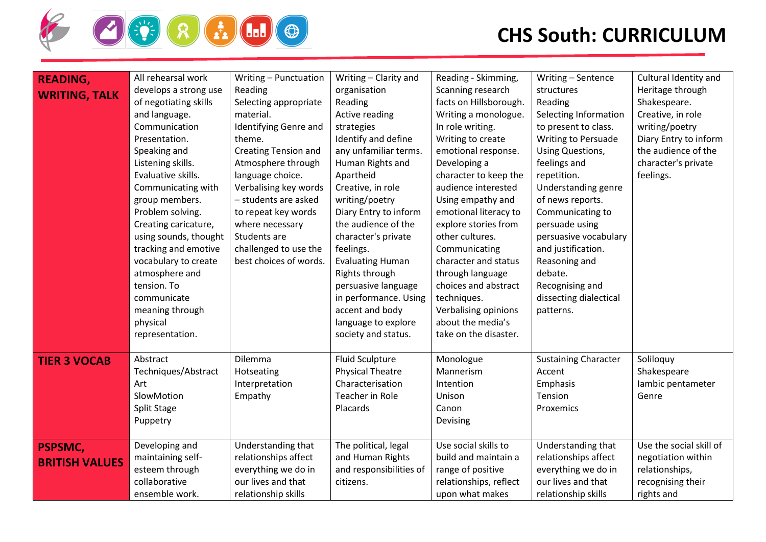

| <b>READING,</b><br><b>WRITING, TALK</b> | All rehearsal work<br>develops a strong use<br>of negotiating skills<br>and language.<br>Communication<br>Presentation.<br>Speaking and<br>Listening skills.<br>Evaluative skills.<br>Communicating with<br>group members.<br>Problem solving.<br>Creating caricature,<br>using sounds, thought<br>tracking and emotive<br>vocabulary to create<br>atmosphere and<br>tension. To<br>communicate<br>meaning through<br>physical<br>representation. | Writing - Punctuation<br>Reading<br>Selecting appropriate<br>material.<br>Identifying Genre and<br>theme.<br><b>Creating Tension and</b><br>Atmosphere through<br>language choice.<br>Verbalising key words<br>- students are asked<br>to repeat key words<br>where necessary<br>Students are<br>challenged to use the<br>best choices of words. | Writing - Clarity and<br>organisation<br>Reading<br><b>Active reading</b><br>strategies<br>Identify and define<br>any unfamiliar terms.<br>Human Rights and<br>Apartheid<br>Creative, in role<br>writing/poetry<br>Diary Entry to inform<br>the audience of the<br>character's private<br>feelings.<br><b>Evaluating Human</b><br>Rights through<br>persuasive language<br>in performance. Using<br>accent and body<br>language to explore<br>society and status. | Reading - Skimming,<br>Scanning research<br>facts on Hillsborough.<br>Writing a monologue.<br>In role writing.<br>Writing to create<br>emotional response.<br>Developing a<br>character to keep the<br>audience interested<br>Using empathy and<br>emotional literacy to<br>explore stories from<br>other cultures.<br>Communicating<br>character and status<br>through language<br>choices and abstract<br>techniques.<br>Verbalising opinions<br>about the media's<br>take on the disaster. | Writing - Sentence<br>structures<br>Reading<br>Selecting Information<br>to present to class.<br>Writing to Persuade<br><b>Using Questions,</b><br>feelings and<br>repetition.<br>Understanding genre<br>of news reports.<br>Communicating to<br>persuade using<br>persuasive vocabulary<br>and justification.<br>Reasoning and<br>debate.<br>Recognising and<br>dissecting dialectical<br>patterns. | Cultural Identity and<br>Heritage through<br>Shakespeare.<br>Creative, in role<br>writing/poetry<br>Diary Entry to inform<br>the audience of the<br>character's private<br>feelings. |
|-----------------------------------------|---------------------------------------------------------------------------------------------------------------------------------------------------------------------------------------------------------------------------------------------------------------------------------------------------------------------------------------------------------------------------------------------------------------------------------------------------|--------------------------------------------------------------------------------------------------------------------------------------------------------------------------------------------------------------------------------------------------------------------------------------------------------------------------------------------------|-------------------------------------------------------------------------------------------------------------------------------------------------------------------------------------------------------------------------------------------------------------------------------------------------------------------------------------------------------------------------------------------------------------------------------------------------------------------|-----------------------------------------------------------------------------------------------------------------------------------------------------------------------------------------------------------------------------------------------------------------------------------------------------------------------------------------------------------------------------------------------------------------------------------------------------------------------------------------------|-----------------------------------------------------------------------------------------------------------------------------------------------------------------------------------------------------------------------------------------------------------------------------------------------------------------------------------------------------------------------------------------------------|--------------------------------------------------------------------------------------------------------------------------------------------------------------------------------------|
| <b>TIER 3 VOCAB</b>                     | Abstract<br>Techniques/Abstract<br>Art<br>SlowMotion<br><b>Split Stage</b><br>Puppetry                                                                                                                                                                                                                                                                                                                                                            | Dilemma<br>Hotseating<br>Interpretation<br>Empathy                                                                                                                                                                                                                                                                                               | <b>Fluid Sculpture</b><br><b>Physical Theatre</b><br>Characterisation<br>Teacher in Role<br>Placards                                                                                                                                                                                                                                                                                                                                                              | Monologue<br>Mannerism<br>Intention<br>Unison<br>Canon<br>Devising                                                                                                                                                                                                                                                                                                                                                                                                                            | <b>Sustaining Character</b><br>Accent<br>Emphasis<br>Tension<br>Proxemics                                                                                                                                                                                                                                                                                                                           | Soliloquy<br>Shakespeare<br>lambic pentameter<br>Genre                                                                                                                               |
| <b>PSPSMC,</b><br><b>BRITISH VALUES</b> | Developing and<br>maintaining self-<br>esteem through<br>collaborative<br>ensemble work.                                                                                                                                                                                                                                                                                                                                                          | Understanding that<br>relationships affect<br>everything we do in<br>our lives and that<br>relationship skills                                                                                                                                                                                                                                   | The political, legal<br>and Human Rights<br>and responsibilities of<br>citizens.                                                                                                                                                                                                                                                                                                                                                                                  | Use social skills to<br>build and maintain a<br>range of positive<br>relationships, reflect<br>upon what makes                                                                                                                                                                                                                                                                                                                                                                                | Understanding that<br>relationships affect<br>everything we do in<br>our lives and that<br>relationship skills                                                                                                                                                                                                                                                                                      | Use the social skill of<br>negotiation within<br>relationships,<br>recognising their<br>rights and                                                                                   |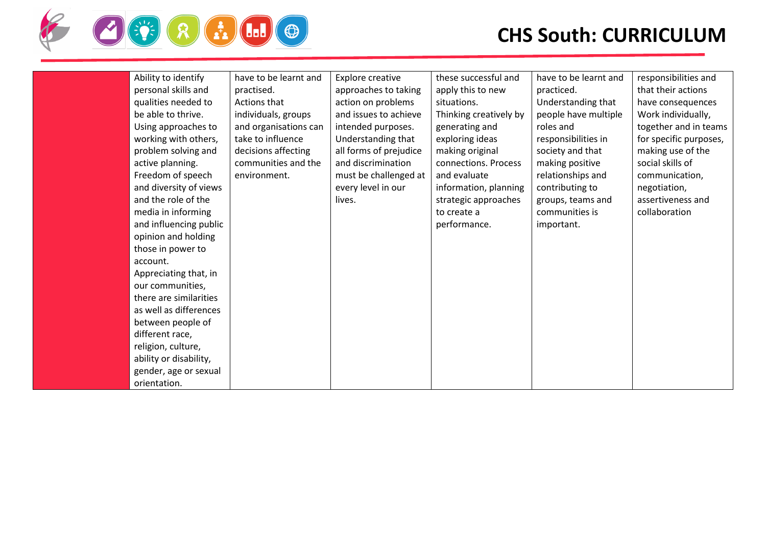

| Ability to identify    | have to be learnt and | Explore creative       | these successful and   | have to be learnt and | responsibilities and   |
|------------------------|-----------------------|------------------------|------------------------|-----------------------|------------------------|
| personal skills and    | practised.            | approaches to taking   | apply this to new      | practiced.            | that their actions     |
| qualities needed to    | Actions that          | action on problems     | situations.            | Understanding that    | have consequences      |
| be able to thrive.     | individuals, groups   | and issues to achieve  | Thinking creatively by | people have multiple  | Work individually,     |
| Using approaches to    | and organisations can | intended purposes.     | generating and         | roles and             | together and in teams  |
| working with others,   | take to influence     | Understanding that     | exploring ideas        | responsibilities in   | for specific purposes, |
| problem solving and    | decisions affecting   | all forms of prejudice | making original        | society and that      | making use of the      |
| active planning.       | communities and the   | and discrimination     | connections. Process   | making positive       | social skills of       |
| Freedom of speech      | environment.          | must be challenged at  | and evaluate           | relationships and     | communication,         |
| and diversity of views |                       | every level in our     | information, planning  | contributing to       | negotiation,           |
| and the role of the    |                       | lives.                 | strategic approaches   | groups, teams and     | assertiveness and      |
| media in informing     |                       |                        | to create a            | communities is        | collaboration          |
| and influencing public |                       |                        | performance.           | important.            |                        |
| opinion and holding    |                       |                        |                        |                       |                        |
| those in power to      |                       |                        |                        |                       |                        |
| account.               |                       |                        |                        |                       |                        |
| Appreciating that, in  |                       |                        |                        |                       |                        |
| our communities,       |                       |                        |                        |                       |                        |
| there are similarities |                       |                        |                        |                       |                        |
| as well as differences |                       |                        |                        |                       |                        |
| between people of      |                       |                        |                        |                       |                        |
| different race,        |                       |                        |                        |                       |                        |
| religion, culture,     |                       |                        |                        |                       |                        |
| ability or disability, |                       |                        |                        |                       |                        |
| gender, age or sexual  |                       |                        |                        |                       |                        |
| orientation.           |                       |                        |                        |                       |                        |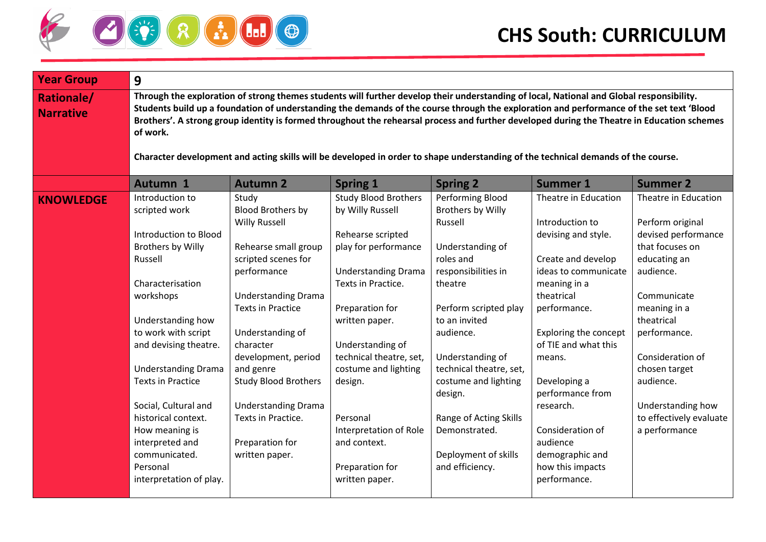

| <b>Year Group</b>                     | 9                                                                                                                                                                                                                                                                                                                                                                                                                                                                                                                                                                                    |                                                                                                                                                                                                                                                                                                                                                                                |                                                                                                                                                                                                                                                                                                                                                                    |                                                                                                                                                                                                                                                                                                                                                    |                                                                                                                                                                                                                                                                                                                                                                      |                                                                                                                                                                                                                                                                                                 |  |
|---------------------------------------|--------------------------------------------------------------------------------------------------------------------------------------------------------------------------------------------------------------------------------------------------------------------------------------------------------------------------------------------------------------------------------------------------------------------------------------------------------------------------------------------------------------------------------------------------------------------------------------|--------------------------------------------------------------------------------------------------------------------------------------------------------------------------------------------------------------------------------------------------------------------------------------------------------------------------------------------------------------------------------|--------------------------------------------------------------------------------------------------------------------------------------------------------------------------------------------------------------------------------------------------------------------------------------------------------------------------------------------------------------------|----------------------------------------------------------------------------------------------------------------------------------------------------------------------------------------------------------------------------------------------------------------------------------------------------------------------------------------------------|----------------------------------------------------------------------------------------------------------------------------------------------------------------------------------------------------------------------------------------------------------------------------------------------------------------------------------------------------------------------|-------------------------------------------------------------------------------------------------------------------------------------------------------------------------------------------------------------------------------------------------------------------------------------------------|--|
| <b>Rationale/</b><br><b>Narrative</b> | Through the exploration of strong themes students will further develop their understanding of local, National and Global responsibility.<br>Students build up a foundation of understanding the demands of the course through the exploration and performance of the set text 'Blood<br>Brothers'. A strong group identity is formed throughout the rehearsal process and further developed during the Theatre in Education schemes<br>of work.<br>Character development and acting skills will be developed in order to shape understanding of the technical demands of the course. |                                                                                                                                                                                                                                                                                                                                                                                |                                                                                                                                                                                                                                                                                                                                                                    |                                                                                                                                                                                                                                                                                                                                                    |                                                                                                                                                                                                                                                                                                                                                                      |                                                                                                                                                                                                                                                                                                 |  |
|                                       | Autumn 1                                                                                                                                                                                                                                                                                                                                                                                                                                                                                                                                                                             | <b>Autumn 2</b>                                                                                                                                                                                                                                                                                                                                                                | <b>Spring 1</b>                                                                                                                                                                                                                                                                                                                                                    | <b>Spring 2</b>                                                                                                                                                                                                                                                                                                                                    | <b>Summer 1</b>                                                                                                                                                                                                                                                                                                                                                      | <b>Summer 2</b>                                                                                                                                                                                                                                                                                 |  |
| <b>KNOWLEDGE</b>                      | Introduction to<br>scripted work<br>Introduction to Blood<br>Brothers by Willy<br>Russell<br>Characterisation<br>workshops<br>Understanding how<br>to work with script<br>and devising theatre.<br><b>Understanding Drama</b><br><b>Texts in Practice</b><br>Social, Cultural and<br>historical context.<br>How meaning is<br>interpreted and<br>communicated.<br>Personal<br>interpretation of play.                                                                                                                                                                                | Study<br><b>Blood Brothers by</b><br><b>Willy Russell</b><br>Rehearse small group<br>scripted scenes for<br>performance<br><b>Understanding Drama</b><br><b>Texts in Practice</b><br>Understanding of<br>character<br>development, period<br>and genre<br><b>Study Blood Brothers</b><br><b>Understanding Drama</b><br>Texts in Practice.<br>Preparation for<br>written paper. | <b>Study Blood Brothers</b><br>by Willy Russell<br>Rehearse scripted<br>play for performance<br><b>Understanding Drama</b><br>Texts in Practice.<br>Preparation for<br>written paper.<br>Understanding of<br>technical theatre, set,<br>costume and lighting<br>design.<br>Personal<br>Interpretation of Role<br>and context.<br>Preparation for<br>written paper. | Performing Blood<br>Brothers by Willy<br>Russell<br>Understanding of<br>roles and<br>responsibilities in<br>theatre<br>Perform scripted play<br>to an invited<br>audience.<br>Understanding of<br>technical theatre, set,<br>costume and lighting<br>design.<br>Range of Acting Skills<br>Demonstrated.<br>Deployment of skills<br>and efficiency. | Theatre in Education<br>Introduction to<br>devising and style.<br>Create and develop<br>ideas to communicate<br>meaning in a<br>theatrical<br>performance.<br><b>Exploring the concept</b><br>of TIE and what this<br>means.<br>Developing a<br>performance from<br>research.<br>Consideration of<br>audience<br>demographic and<br>how this impacts<br>performance. | Theatre in Education<br>Perform original<br>devised performance<br>that focuses on<br>educating an<br>audience.<br>Communicate<br>meaning in a<br>theatrical<br>performance.<br>Consideration of<br>chosen target<br>audience.<br>Understanding how<br>to effectively evaluate<br>a performance |  |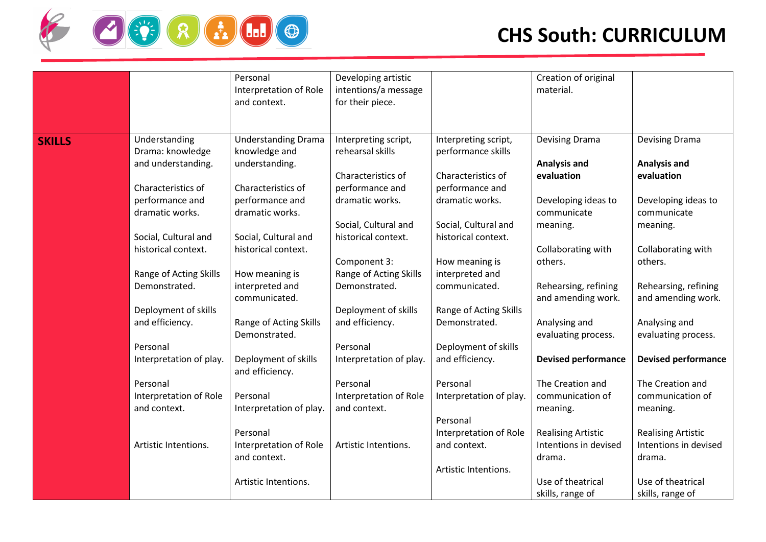

|               |                                        | Personal<br>Interpretation of Role<br>and context. | Developing artistic<br>intentions/a message<br>for their piece. |                                             | Creation of original<br>material.          |                                            |
|---------------|----------------------------------------|----------------------------------------------------|-----------------------------------------------------------------|---------------------------------------------|--------------------------------------------|--------------------------------------------|
| <b>SKILLS</b> | Understanding<br>Drama: knowledge      | <b>Understanding Drama</b><br>knowledge and        | Interpreting script,<br>rehearsal skills                        | Interpreting script,<br>performance skills  | Devising Drama                             | Devising Drama                             |
|               | and understanding.                     | understanding.                                     | Characteristics of                                              | Characteristics of                          | <b>Analysis and</b><br>evaluation          | <b>Analysis and</b><br>evaluation          |
|               | Characteristics of                     | Characteristics of                                 | performance and                                                 | performance and                             |                                            |                                            |
|               | performance and<br>dramatic works.     | performance and<br>dramatic works.                 | dramatic works.                                                 | dramatic works.                             | Developing ideas to<br>communicate         | Developing ideas to<br>communicate         |
|               | Social, Cultural and                   | Social, Cultural and                               | Social, Cultural and<br>historical context.                     | Social, Cultural and<br>historical context. | meaning.                                   | meaning.                                   |
|               | historical context.                    | historical context.                                |                                                                 |                                             | Collaborating with                         | Collaborating with                         |
|               | Range of Acting Skills                 | How meaning is                                     | Component 3:<br>Range of Acting Skills                          | How meaning is<br>interpreted and           | others.                                    | others.                                    |
|               | Demonstrated.                          | interpreted and<br>communicated.                   | Demonstrated.                                                   | communicated.                               | Rehearsing, refining<br>and amending work. | Rehearsing, refining<br>and amending work. |
|               | Deployment of skills                   |                                                    | Deployment of skills                                            | Range of Acting Skills                      |                                            |                                            |
|               | and efficiency.                        | Range of Acting Skills<br>Demonstrated.            | and efficiency.                                                 | Demonstrated.                               | Analysing and<br>evaluating process.       | Analysing and<br>evaluating process.       |
|               | Personal                               |                                                    | Personal                                                        | Deployment of skills                        |                                            |                                            |
|               | Interpretation of play.                | Deployment of skills<br>and efficiency.            | Interpretation of play.                                         | and efficiency.                             | <b>Devised performance</b>                 | <b>Devised performance</b>                 |
|               | Personal                               |                                                    | Personal                                                        | Personal                                    | The Creation and                           | The Creation and                           |
|               | Interpretation of Role<br>and context. | Personal                                           | Interpretation of Role<br>and context.                          | Interpretation of play.                     | communication of                           | communication of                           |
|               |                                        | Interpretation of play.                            |                                                                 | Personal                                    | meaning.                                   | meaning.                                   |
|               |                                        | Personal                                           |                                                                 | Interpretation of Role                      | <b>Realising Artistic</b>                  | <b>Realising Artistic</b>                  |
|               | Artistic Intentions.                   | Interpretation of Role                             | Artistic Intentions.                                            | and context.                                | Intentions in devised                      | Intentions in devised                      |
|               |                                        | and context.                                       |                                                                 |                                             | drama.                                     | drama.                                     |
|               |                                        |                                                    |                                                                 | Artistic Intentions.                        |                                            | Use of theatrical                          |
|               |                                        | Artistic Intentions.                               |                                                                 |                                             | Use of theatrical<br>skills, range of      | skills, range of                           |
|               |                                        |                                                    |                                                                 |                                             |                                            |                                            |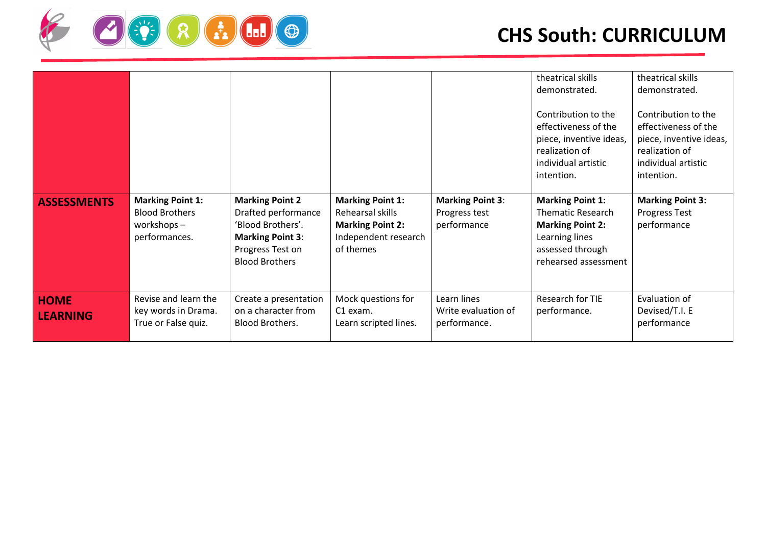

|                                |                                                                                    |                                                                                                                                            |                                                                                                             |                                                         | theatrical skills<br>demonstrated.<br>Contribution to the<br>effectiveness of the<br>piece, inventive ideas,<br>realization of<br>individual artistic<br>intention. | theatrical skills<br>demonstrated.<br>Contribution to the<br>effectiveness of the<br>piece, inventive ideas,<br>realization of<br>individual artistic<br>intention. |
|--------------------------------|------------------------------------------------------------------------------------|--------------------------------------------------------------------------------------------------------------------------------------------|-------------------------------------------------------------------------------------------------------------|---------------------------------------------------------|---------------------------------------------------------------------------------------------------------------------------------------------------------------------|---------------------------------------------------------------------------------------------------------------------------------------------------------------------|
| <b>ASSESSMENTS</b>             | <b>Marking Point 1:</b><br><b>Blood Brothers</b><br>workshops $-$<br>performances. | <b>Marking Point 2</b><br>Drafted performance<br>'Blood Brothers'.<br><b>Marking Point 3:</b><br>Progress Test on<br><b>Blood Brothers</b> | <b>Marking Point 1:</b><br>Rehearsal skills<br><b>Marking Point 2:</b><br>Independent research<br>of themes | <b>Marking Point 3:</b><br>Progress test<br>performance | <b>Marking Point 1:</b><br><b>Thematic Research</b><br><b>Marking Point 2:</b><br>Learning lines<br>assessed through<br>rehearsed assessment                        | <b>Marking Point 3:</b><br>Progress Test<br>performance                                                                                                             |
| <b>HOME</b><br><b>LEARNING</b> | Revise and learn the<br>key words in Drama.<br>True or False quiz.                 | Create a presentation<br>on a character from<br><b>Blood Brothers.</b>                                                                     | Mock questions for<br>C1 exam.<br>Learn scripted lines.                                                     | Learn lines<br>Write evaluation of<br>performance.      | Research for TIE<br>performance.                                                                                                                                    | Evaluation of<br>Devised/T.I. E<br>performance                                                                                                                      |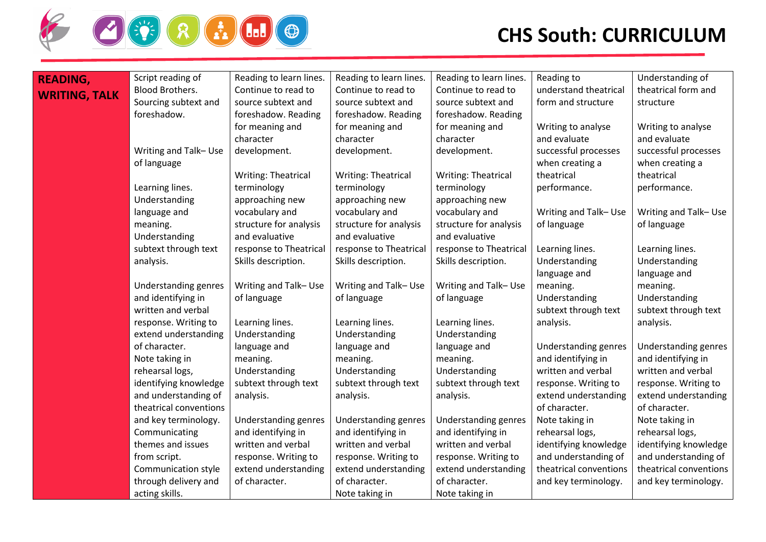

| <b>READING,</b>      | Script reading of      | Reading to learn lines. | Reading to learn lines. | Reading to learn lines. | Reading to             | Understanding of       |
|----------------------|------------------------|-------------------------|-------------------------|-------------------------|------------------------|------------------------|
| <b>WRITING, TALK</b> | Blood Brothers.        | Continue to read to     | Continue to read to     | Continue to read to     | understand theatrical  | theatrical form and    |
|                      | Sourcing subtext and   | source subtext and      | source subtext and      | source subtext and      | form and structure     | structure              |
|                      | foreshadow.            | foreshadow. Reading     | foreshadow. Reading     | foreshadow. Reading     |                        |                        |
|                      |                        | for meaning and         | for meaning and         | for meaning and         | Writing to analyse     | Writing to analyse     |
|                      |                        | character               | character               | character               | and evaluate           | and evaluate           |
|                      | Writing and Talk-Use   | development.            | development.            | development.            | successful processes   | successful processes   |
|                      | of language            |                         |                         |                         | when creating a        | when creating a        |
|                      |                        | Writing: Theatrical     | Writing: Theatrical     | Writing: Theatrical     | theatrical             | theatrical             |
|                      | Learning lines.        | terminology             | terminology             | terminology             | performance.           | performance.           |
|                      | Understanding          | approaching new         | approaching new         | approaching new         |                        |                        |
|                      | language and           | vocabulary and          | vocabulary and          | vocabulary and          | Writing and Talk-Use   | Writing and Talk-Use   |
|                      | meaning.               | structure for analysis  | structure for analysis  | structure for analysis  | of language            | of language            |
|                      | Understanding          | and evaluative          | and evaluative          | and evaluative          |                        |                        |
|                      | subtext through text   | response to Theatrical  | response to Theatrical  | response to Theatrical  | Learning lines.        | Learning lines.        |
|                      | analysis.              | Skills description.     | Skills description.     | Skills description.     | Understanding          | Understanding          |
|                      |                        |                         |                         |                         | language and           | language and           |
|                      | Understanding genres   | Writing and Talk-Use    | Writing and Talk-Use    | Writing and Talk-Use    | meaning.               | meaning.               |
|                      | and identifying in     | of language             | of language             | of language             | Understanding          | Understanding          |
|                      | written and verbal     |                         |                         |                         | subtext through text   | subtext through text   |
|                      | response. Writing to   | Learning lines.         | Learning lines.         | Learning lines.         | analysis.              | analysis.              |
|                      | extend understanding   | Understanding           | Understanding           | Understanding           |                        |                        |
|                      | of character.          | language and            | language and            | language and            | Understanding genres   | Understanding genres   |
|                      | Note taking in         | meaning.                | meaning.                | meaning.                | and identifying in     | and identifying in     |
|                      | rehearsal logs,        | Understanding           | Understanding           | Understanding           | written and verbal     | written and verbal     |
|                      | identifying knowledge  | subtext through text    | subtext through text    | subtext through text    | response. Writing to   | response. Writing to   |
|                      | and understanding of   | analysis.               | analysis.               | analysis.               | extend understanding   | extend understanding   |
|                      | theatrical conventions |                         |                         |                         | of character.          | of character.          |
|                      | and key terminology.   | Understanding genres    | Understanding genres    | Understanding genres    | Note taking in         | Note taking in         |
|                      | Communicating          | and identifying in      | and identifying in      | and identifying in      | rehearsal logs,        | rehearsal logs,        |
|                      | themes and issues      | written and verbal      | written and verbal      | written and verbal      | identifying knowledge  | identifying knowledge  |
|                      | from script.           | response. Writing to    | response. Writing to    | response. Writing to    | and understanding of   | and understanding of   |
|                      | Communication style    | extend understanding    | extend understanding    | extend understanding    | theatrical conventions | theatrical conventions |
|                      | through delivery and   | of character.           | of character.           | of character.           | and key terminology.   | and key terminology.   |
|                      | acting skills.         |                         | Note taking in          | Note taking in          |                        |                        |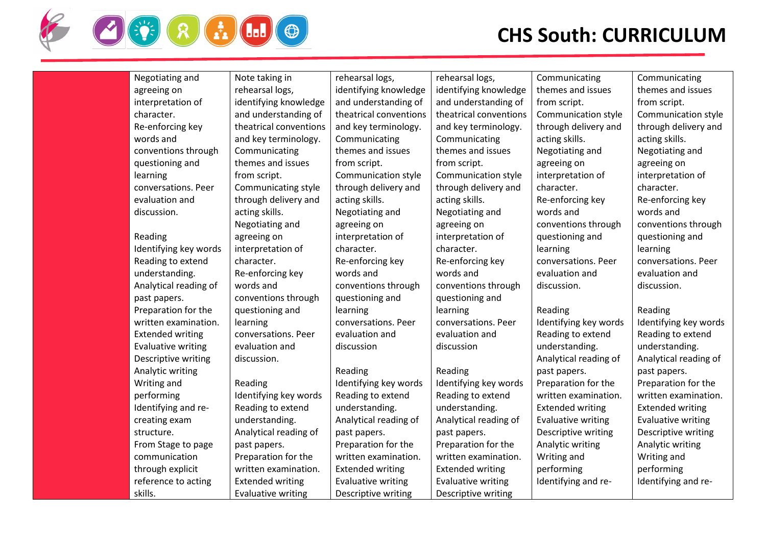

| Negotiating and           | Note taking in            | rehearsal logs,           | rehearsal logs,           | Communicating             | Communicating           |
|---------------------------|---------------------------|---------------------------|---------------------------|---------------------------|-------------------------|
| agreeing on               | rehearsal logs,           | identifying knowledge     | identifying knowledge     | themes and issues         | themes and issues       |
| interpretation of         | identifying knowledge     | and understanding of      | and understanding of      | from script.              | from script.            |
| character.                | and understanding of      | theatrical conventions    | theatrical conventions    | Communication style       | Communication style     |
| Re-enforcing key          | theatrical conventions    | and key terminology.      | and key terminology.      | through delivery and      | through delivery and    |
| words and                 | and key terminology.      | Communicating             | Communicating             | acting skills.            | acting skills.          |
| conventions through       | Communicating             | themes and issues         | themes and issues         | Negotiating and           | Negotiating and         |
| questioning and           | themes and issues         | from script.              | from script.              | agreeing on               | agreeing on             |
| learning                  | from script.              | Communication style       | Communication style       | interpretation of         | interpretation of       |
| conversations. Peer       | Communicating style       | through delivery and      | through delivery and      | character.                | character.              |
| evaluation and            | through delivery and      | acting skills.            | acting skills.            | Re-enforcing key          | Re-enforcing key        |
| discussion.               | acting skills.            | Negotiating and           | Negotiating and           | words and                 | words and               |
|                           | Negotiating and           | agreeing on               | agreeing on               | conventions through       | conventions through     |
| Reading                   | agreeing on               | interpretation of         | interpretation of         | questioning and           | questioning and         |
| Identifying key words     | interpretation of         | character.                | character.                | learning                  | learning                |
| Reading to extend         | character.                | Re-enforcing key          | Re-enforcing key          | conversations. Peer       | conversations. Peer     |
| understanding.            | Re-enforcing key          | words and                 | words and                 | evaluation and            | evaluation and          |
| Analytical reading of     | words and                 | conventions through       | conventions through       | discussion.               | discussion.             |
| past papers.              | conventions through       | questioning and           | questioning and           |                           |                         |
| Preparation for the       | questioning and           | learning                  | learning                  | Reading                   | Reading                 |
| written examination.      | learning                  | conversations. Peer       | conversations. Peer       | Identifying key words     | Identifying key words   |
| <b>Extended writing</b>   | conversations. Peer       | evaluation and            | evaluation and            | Reading to extend         | Reading to extend       |
| <b>Evaluative writing</b> | evaluation and            | discussion                | discussion                | understanding.            | understanding.          |
| Descriptive writing       | discussion.               |                           |                           | Analytical reading of     | Analytical reading of   |
| Analytic writing          |                           | Reading                   | Reading                   | past papers.              | past papers.            |
| Writing and               | Reading                   | Identifying key words     | Identifying key words     | Preparation for the       | Preparation for the     |
| performing                | Identifying key words     | Reading to extend         | Reading to extend         | written examination.      | written examination.    |
| Identifying and re-       | Reading to extend         | understanding.            | understanding.            | <b>Extended writing</b>   | <b>Extended writing</b> |
| creating exam             | understanding.            | Analytical reading of     | Analytical reading of     | <b>Evaluative writing</b> | Evaluative writing      |
| structure.                | Analytical reading of     | past papers.              | past papers.              | Descriptive writing       | Descriptive writing     |
| From Stage to page        | past papers.              | Preparation for the       | Preparation for the       | Analytic writing          | Analytic writing        |
| communication             | Preparation for the       | written examination.      | written examination.      | Writing and               | Writing and             |
| through explicit          | written examination.      | <b>Extended writing</b>   | <b>Extended writing</b>   | performing                | performing              |
| reference to acting       | <b>Extended writing</b>   | <b>Evaluative writing</b> | <b>Evaluative writing</b> | Identifying and re-       | Identifying and re-     |
| skills.                   | <b>Evaluative writing</b> | Descriptive writing       | Descriptive writing       |                           |                         |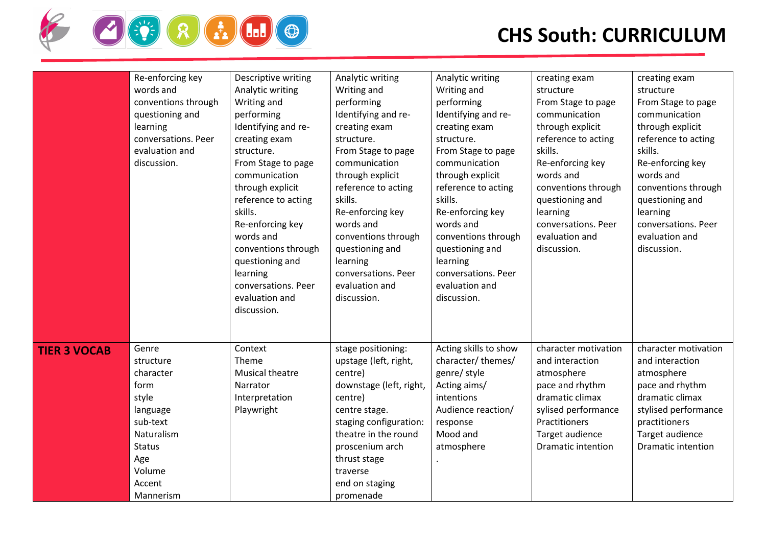

|                     | Re-enforcing key<br>words and<br>conventions through<br>questioning and<br>learning<br>conversations. Peer<br>evaluation and<br>discussion.     | Descriptive writing<br>Analytic writing<br>Writing and<br>performing<br>Identifying and re-<br>creating exam<br>structure.<br>From Stage to page<br>communication<br>through explicit<br>reference to acting<br>skills.<br>Re-enforcing key<br>words and<br>conventions through<br>questioning and<br>learning<br>conversations. Peer<br>evaluation and<br>discussion. | Analytic writing<br>Writing and<br>performing<br>Identifying and re-<br>creating exam<br>structure.<br>From Stage to page<br>communication<br>through explicit<br>reference to acting<br>skills.<br>Re-enforcing key<br>words and<br>conventions through<br>questioning and<br>learning<br>conversations. Peer<br>evaluation and<br>discussion. | Analytic writing<br>Writing and<br>performing<br>Identifying and re-<br>creating exam<br>structure.<br>From Stage to page<br>communication<br>through explicit<br>reference to acting<br>skills.<br>Re-enforcing key<br>words and<br>conventions through<br>questioning and<br>learning<br>conversations. Peer<br>evaluation and<br>discussion. | creating exam<br>structure<br>From Stage to page<br>communication<br>through explicit<br>reference to acting<br>skills.<br>Re-enforcing key<br>words and<br>conventions through<br>questioning and<br>learning<br>conversations. Peer<br>evaluation and<br>discussion. | creating exam<br>structure<br>From Stage to page<br>communication<br>through explicit<br>reference to acting<br>skills.<br>Re-enforcing key<br>words and<br>conventions through<br>questioning and<br>learning<br>conversations. Peer<br>evaluation and<br>discussion. |
|---------------------|-------------------------------------------------------------------------------------------------------------------------------------------------|------------------------------------------------------------------------------------------------------------------------------------------------------------------------------------------------------------------------------------------------------------------------------------------------------------------------------------------------------------------------|-------------------------------------------------------------------------------------------------------------------------------------------------------------------------------------------------------------------------------------------------------------------------------------------------------------------------------------------------|-------------------------------------------------------------------------------------------------------------------------------------------------------------------------------------------------------------------------------------------------------------------------------------------------------------------------------------------------|------------------------------------------------------------------------------------------------------------------------------------------------------------------------------------------------------------------------------------------------------------------------|------------------------------------------------------------------------------------------------------------------------------------------------------------------------------------------------------------------------------------------------------------------------|
| <b>TIER 3 VOCAB</b> | Genre<br>structure<br>character<br>form<br>style<br>language<br>sub-text<br>Naturalism<br><b>Status</b><br>Age<br>Volume<br>Accent<br>Mannerism | Context<br>Theme<br>Musical theatre<br>Narrator<br>Interpretation<br>Playwright                                                                                                                                                                                                                                                                                        | stage positioning:<br>upstage (left, right,<br>centre)<br>downstage (left, right,<br>centre)<br>centre stage.<br>staging configuration:<br>theatre in the round<br>proscenium arch<br>thrust stage<br>traverse<br>end on staging<br>promenade                                                                                                   | Acting skills to show<br>character/themes/<br>genre/ style<br>Acting aims/<br>intentions<br>Audience reaction/<br>response<br>Mood and<br>atmosphere                                                                                                                                                                                            | character motivation<br>and interaction<br>atmosphere<br>pace and rhythm<br>dramatic climax<br>sylised performance<br>Practitioners<br>Target audience<br><b>Dramatic intention</b>                                                                                    | character motivation<br>and interaction<br>atmosphere<br>pace and rhythm<br>dramatic climax<br>stylised performance<br>practitioners<br>Target audience<br><b>Dramatic intention</b>                                                                                   |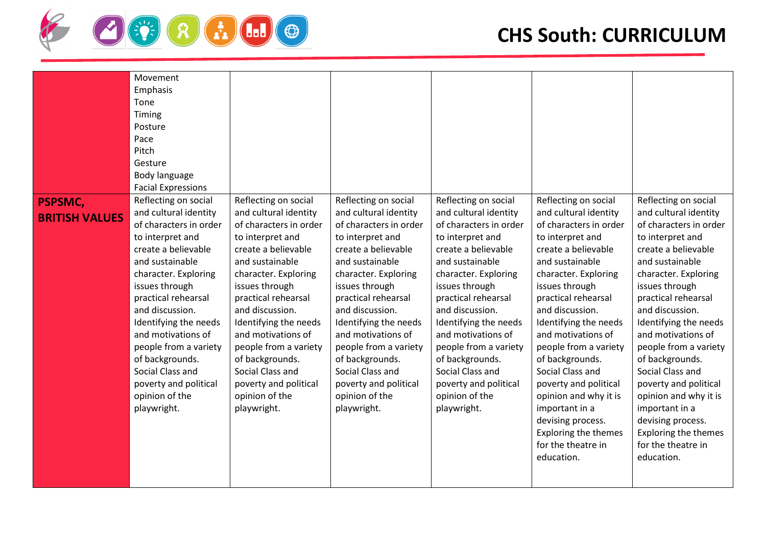

|                                         | Movement<br>Emphasis<br>Tone<br>Timing<br>Posture<br>Pace<br>Pitch<br>Gesture<br>Body language<br><b>Facial Expressions</b>                                                                                                                                                                                                                                                                        |                                                                                                                                                                                                                                                                                                                                                                                                    |                                                                                                                                                                                                                                                                                                                                                                                                    |                                                                                                                                                                                                                                                                                                                                                                                                    |                                                                                                                                                                                                                                                                                                                                                                                                                                                                                                      |                                                                                                                                                                                                                                                                                                                                                                                                                                                                                               |
|-----------------------------------------|----------------------------------------------------------------------------------------------------------------------------------------------------------------------------------------------------------------------------------------------------------------------------------------------------------------------------------------------------------------------------------------------------|----------------------------------------------------------------------------------------------------------------------------------------------------------------------------------------------------------------------------------------------------------------------------------------------------------------------------------------------------------------------------------------------------|----------------------------------------------------------------------------------------------------------------------------------------------------------------------------------------------------------------------------------------------------------------------------------------------------------------------------------------------------------------------------------------------------|----------------------------------------------------------------------------------------------------------------------------------------------------------------------------------------------------------------------------------------------------------------------------------------------------------------------------------------------------------------------------------------------------|------------------------------------------------------------------------------------------------------------------------------------------------------------------------------------------------------------------------------------------------------------------------------------------------------------------------------------------------------------------------------------------------------------------------------------------------------------------------------------------------------|-----------------------------------------------------------------------------------------------------------------------------------------------------------------------------------------------------------------------------------------------------------------------------------------------------------------------------------------------------------------------------------------------------------------------------------------------------------------------------------------------|
| <b>PSPSMC,</b><br><b>BRITISH VALUES</b> | Reflecting on social<br>and cultural identity<br>of characters in order<br>to interpret and<br>create a believable<br>and sustainable<br>character. Exploring<br>issues through<br>practical rehearsal<br>and discussion.<br>Identifying the needs<br>and motivations of<br>people from a variety<br>of backgrounds.<br>Social Class and<br>poverty and political<br>opinion of the<br>playwright. | Reflecting on social<br>and cultural identity<br>of characters in order<br>to interpret and<br>create a believable<br>and sustainable<br>character. Exploring<br>issues through<br>practical rehearsal<br>and discussion.<br>Identifying the needs<br>and motivations of<br>people from a variety<br>of backgrounds.<br>Social Class and<br>poverty and political<br>opinion of the<br>playwright. | Reflecting on social<br>and cultural identity<br>of characters in order<br>to interpret and<br>create a believable<br>and sustainable<br>character. Exploring<br>issues through<br>practical rehearsal<br>and discussion.<br>Identifying the needs<br>and motivations of<br>people from a variety<br>of backgrounds.<br>Social Class and<br>poverty and political<br>opinion of the<br>playwright. | Reflecting on social<br>and cultural identity<br>of characters in order<br>to interpret and<br>create a believable<br>and sustainable<br>character. Exploring<br>issues through<br>practical rehearsal<br>and discussion.<br>Identifying the needs<br>and motivations of<br>people from a variety<br>of backgrounds.<br>Social Class and<br>poverty and political<br>opinion of the<br>playwright. | Reflecting on social<br>and cultural identity<br>of characters in order<br>to interpret and<br>create a believable<br>and sustainable<br>character. Exploring<br>issues through<br>practical rehearsal<br>and discussion.<br>Identifying the needs<br>and motivations of<br>people from a variety<br>of backgrounds.<br>Social Class and<br>poverty and political<br>opinion and why it is<br>important in a<br>devising process.<br><b>Exploring the themes</b><br>for the theatre in<br>education. | Reflecting on social<br>and cultural identity<br>of characters in order<br>to interpret and<br>create a believable<br>and sustainable<br>character. Exploring<br>issues through<br>practical rehearsal<br>and discussion.<br>Identifying the needs<br>and motivations of<br>people from a variety<br>of backgrounds.<br>Social Class and<br>poverty and political<br>opinion and why it is<br>important in a<br>devising process.<br>Exploring the themes<br>for the theatre in<br>education. |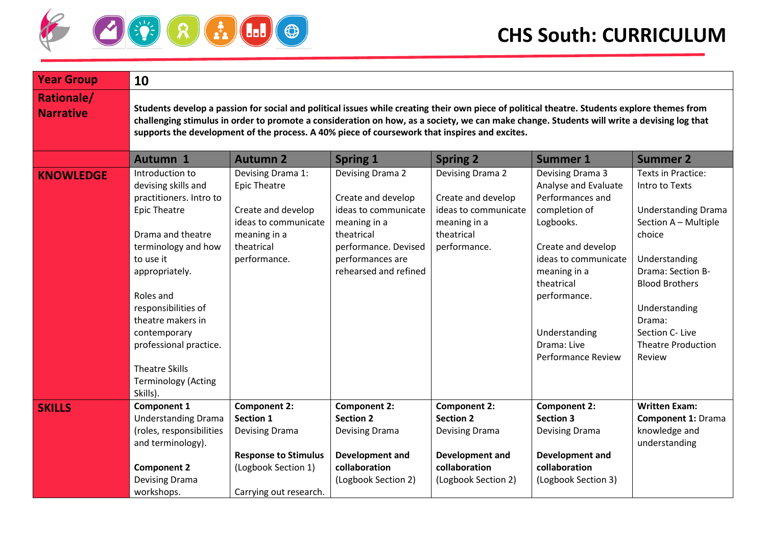

| <b>Year Group</b>                     | 10                                                                                                                                                                                                                                                                                                                                                                                          |                                                                                                                                      |                                                                                                                                                                   |                                                                                                                             |                                                                                                                                                                                                                                                     |                                                                                                                                                                                                                                                          |  |  |
|---------------------------------------|---------------------------------------------------------------------------------------------------------------------------------------------------------------------------------------------------------------------------------------------------------------------------------------------------------------------------------------------------------------------------------------------|--------------------------------------------------------------------------------------------------------------------------------------|-------------------------------------------------------------------------------------------------------------------------------------------------------------------|-----------------------------------------------------------------------------------------------------------------------------|-----------------------------------------------------------------------------------------------------------------------------------------------------------------------------------------------------------------------------------------------------|----------------------------------------------------------------------------------------------------------------------------------------------------------------------------------------------------------------------------------------------------------|--|--|
| <b>Rationale/</b><br><b>Narrative</b> | Students develop a passion for social and political issues while creating their own piece of political theatre. Students explore themes from<br>challenging stimulus in order to promote a consideration on how, as a society, we can make change. Students will write a devising log that<br>supports the development of the process. A 40% piece of coursework that inspires and excites. |                                                                                                                                      |                                                                                                                                                                   |                                                                                                                             |                                                                                                                                                                                                                                                     |                                                                                                                                                                                                                                                          |  |  |
|                                       | <b>Autumn 1</b>                                                                                                                                                                                                                                                                                                                                                                             | <b>Autumn 2</b>                                                                                                                      | <b>Spring 1</b>                                                                                                                                                   | <b>Spring 2</b>                                                                                                             | <b>Summer 1</b>                                                                                                                                                                                                                                     | <b>Summer 2</b>                                                                                                                                                                                                                                          |  |  |
| <b>KNOWLEDGE</b>                      | Introduction to<br>devising skills and<br>practitioners. Intro to<br><b>Epic Theatre</b><br>Drama and theatre<br>terminology and how<br>to use it<br>appropriately.<br>Roles and<br>responsibilities of<br>theatre makers in<br>contemporary<br>professional practice.<br><b>Theatre Skills</b><br><b>Terminology (Acting</b><br>Skills).                                                   | Devising Drama 1:<br><b>Epic Theatre</b><br>Create and develop<br>ideas to communicate<br>meaning in a<br>theatrical<br>performance. | Devising Drama 2<br>Create and develop<br>ideas to communicate<br>meaning in a<br>theatrical<br>performance. Devised<br>performances are<br>rehearsed and refined | Devising Drama 2<br>Create and develop<br>ideas to communicate<br>meaning in a<br>theatrical<br>performance.                | Devising Drama 3<br>Analyse and Evaluate<br>Performances and<br>completion of<br>Logbooks.<br>Create and develop<br>ideas to communicate<br>meaning in a<br>theatrical<br>performance.<br>Understanding<br>Drama: Live<br><b>Performance Review</b> | Texts in Practice:<br>Intro to Texts<br><b>Understanding Drama</b><br>Section A - Multiple<br>choice<br>Understanding<br>Drama: Section B-<br><b>Blood Brothers</b><br>Understanding<br>Drama:<br>Section C- Live<br><b>Theatre Production</b><br>Review |  |  |
| <b>SKILLS</b>                         | <b>Component 1</b><br><b>Understanding Drama</b><br>(roles, responsibilities<br>and terminology).<br><b>Component 2</b><br>Devising Drama                                                                                                                                                                                                                                                   | <b>Component 2:</b><br><b>Section 1</b><br><b>Devising Drama</b><br><b>Response to Stimulus</b><br>(Logbook Section 1)               | <b>Component 2:</b><br><b>Section 2</b><br><b>Devising Drama</b><br>Development and<br>collaboration<br>(Logbook Section 2)                                       | <b>Component 2:</b><br><b>Section 2</b><br><b>Devising Drama</b><br>Development and<br>collaboration<br>(Logbook Section 2) | <b>Component 2:</b><br><b>Section 3</b><br><b>Devising Drama</b><br>Development and<br>collaboration<br>(Logbook Section 3)                                                                                                                         | <b>Written Exam:</b><br><b>Component 1: Drama</b><br>knowledge and<br>understanding                                                                                                                                                                      |  |  |
|                                       | workshops.                                                                                                                                                                                                                                                                                                                                                                                  | Carrying out research.                                                                                                               |                                                                                                                                                                   |                                                                                                                             |                                                                                                                                                                                                                                                     |                                                                                                                                                                                                                                                          |  |  |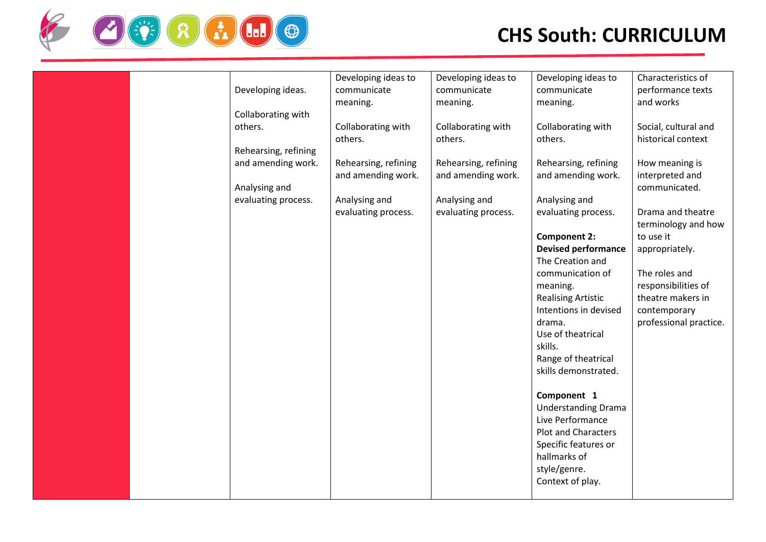

| Developing ideas.<br>Collaborating with | Developing ideas to<br>communicate<br>meaning. | Developing ideas to<br>communicate<br>meaning. | Developing ideas to<br>communicate<br>meaning.                        | Characteristics of<br>performance texts<br>and works      |
|-----------------------------------------|------------------------------------------------|------------------------------------------------|-----------------------------------------------------------------------|-----------------------------------------------------------|
| others.<br>Rehearsing, refining         | Collaborating with<br>others.                  | Collaborating with<br>others.                  | Collaborating with<br>others.                                         | Social, cultural and<br>historical context                |
| and amending work.<br>Analysing and     | Rehearsing, refining<br>and amending work.     | Rehearsing, refining<br>and amending work.     | Rehearsing, refining<br>and amending work.                            | How meaning is<br>interpreted and<br>communicated.        |
| evaluating process.                     | Analysing and<br>evaluating process.           | Analysing and<br>evaluating process.           | Analysing and<br>evaluating process.                                  | Drama and theatre<br>terminology and how                  |
|                                         |                                                |                                                | <b>Component 2:</b><br><b>Devised performance</b><br>The Creation and | to use it<br>appropriately.                               |
|                                         |                                                |                                                | communication of<br>meaning.<br><b>Realising Artistic</b>             | The roles and<br>responsibilities of<br>theatre makers in |
|                                         |                                                |                                                | Intentions in devised<br>drama.<br>Use of theatrical                  | contemporary<br>professional practice.                    |
|                                         |                                                |                                                | skills.<br>Range of theatrical<br>skills demonstrated.                |                                                           |
|                                         |                                                |                                                | Component 1<br><b>Understanding Drama</b><br>Live Performance         |                                                           |
|                                         |                                                |                                                | Plot and Characters<br>Specific features or<br>hallmarks of           |                                                           |
|                                         |                                                |                                                | style/genre.<br>Context of play.                                      |                                                           |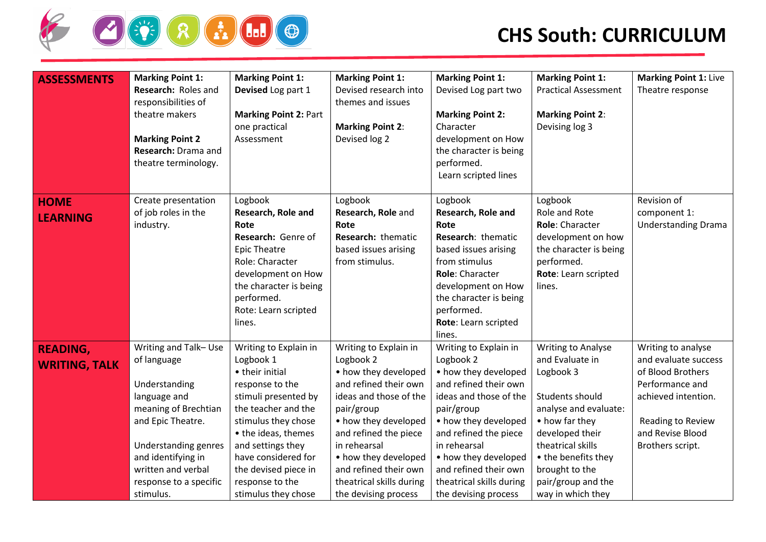

| <b>ASSESSMENTS</b>                      | <b>Marking Point 1:</b><br>Research: Roles and<br>responsibilities of<br>theatre makers<br><b>Marking Point 2</b><br>Research: Drama and<br>theatre terminology.                                                             | <b>Marking Point 1:</b><br>Devised Log part 1<br><b>Marking Point 2: Part</b><br>one practical<br>Assessment                                                                                                                                                                        | <b>Marking Point 1:</b><br>Devised research into<br>themes and issues<br><b>Marking Point 2:</b><br>Devised log 2                                                                                                                                                                                 | <b>Marking Point 1:</b><br>Devised Log part two<br><b>Marking Point 2:</b><br>Character<br>development on How<br>the character is being<br>performed.                                                                                                                                             | <b>Marking Point 1:</b><br><b>Practical Assessment</b><br><b>Marking Point 2:</b><br>Devising log 3                                                                                                                                                 | <b>Marking Point 1: Live</b><br>Theatre response                                                                                                                       |
|-----------------------------------------|------------------------------------------------------------------------------------------------------------------------------------------------------------------------------------------------------------------------------|-------------------------------------------------------------------------------------------------------------------------------------------------------------------------------------------------------------------------------------------------------------------------------------|---------------------------------------------------------------------------------------------------------------------------------------------------------------------------------------------------------------------------------------------------------------------------------------------------|---------------------------------------------------------------------------------------------------------------------------------------------------------------------------------------------------------------------------------------------------------------------------------------------------|-----------------------------------------------------------------------------------------------------------------------------------------------------------------------------------------------------------------------------------------------------|------------------------------------------------------------------------------------------------------------------------------------------------------------------------|
|                                         |                                                                                                                                                                                                                              |                                                                                                                                                                                                                                                                                     |                                                                                                                                                                                                                                                                                                   | Learn scripted lines                                                                                                                                                                                                                                                                              |                                                                                                                                                                                                                                                     |                                                                                                                                                                        |
| <b>HOME</b><br><b>LEARNING</b>          | Create presentation<br>of job roles in the<br>industry.                                                                                                                                                                      | Logbook<br>Research, Role and<br>Rote<br>Research: Genre of<br><b>Epic Theatre</b><br>Role: Character<br>development on How<br>the character is being<br>performed.<br>Rote: Learn scripted<br>lines.                                                                               | Logbook<br>Research, Role and<br>Rote<br>Research: thematic<br>based issues arising<br>from stimulus.                                                                                                                                                                                             | Logbook<br>Research, Role and<br>Rote<br>Research: thematic<br>based issues arising<br>from stimulus<br>Role: Character<br>development on How<br>the character is being<br>performed.<br>Rote: Learn scripted<br>lines.                                                                           | Logbook<br>Role and Rote<br>Role: Character<br>development on how<br>the character is being<br>performed.<br>Rote: Learn scripted<br>lines.                                                                                                         | Revision of<br>component 1:<br><b>Understanding Drama</b>                                                                                                              |
| <b>READING,</b><br><b>WRITING, TALK</b> | Writing and Talk-Use<br>of language<br>Understanding<br>language and<br>meaning of Brechtian<br>and Epic Theatre.<br>Understanding genres<br>and identifying in<br>written and verbal<br>response to a specific<br>stimulus. | Writing to Explain in<br>Logbook 1<br>• their initial<br>response to the<br>stimuli presented by<br>the teacher and the<br>stimulus they chose<br>• the ideas, themes<br>and settings they<br>have considered for<br>the devised piece in<br>response to the<br>stimulus they chose | Writing to Explain in<br>Logbook 2<br>• how they developed<br>and refined their own<br>ideas and those of the<br>pair/group<br>• how they developed<br>and refined the piece<br>in rehearsal<br>• how they developed<br>and refined their own<br>theatrical skills during<br>the devising process | Writing to Explain in<br>Logbook 2<br>• how they developed<br>and refined their own<br>ideas and those of the<br>pair/group<br>• how they developed<br>and refined the piece<br>in rehearsal<br>• how they developed<br>and refined their own<br>theatrical skills during<br>the devising process | <b>Writing to Analyse</b><br>and Evaluate in<br>Logbook 3<br>Students should<br>analyse and evaluate:<br>• how far they<br>developed their<br>theatrical skills<br>• the benefits they<br>brought to the<br>pair/group and the<br>way in which they | Writing to analyse<br>and evaluate success<br>of Blood Brothers<br>Performance and<br>achieved intention.<br>Reading to Review<br>and Revise Blood<br>Brothers script. |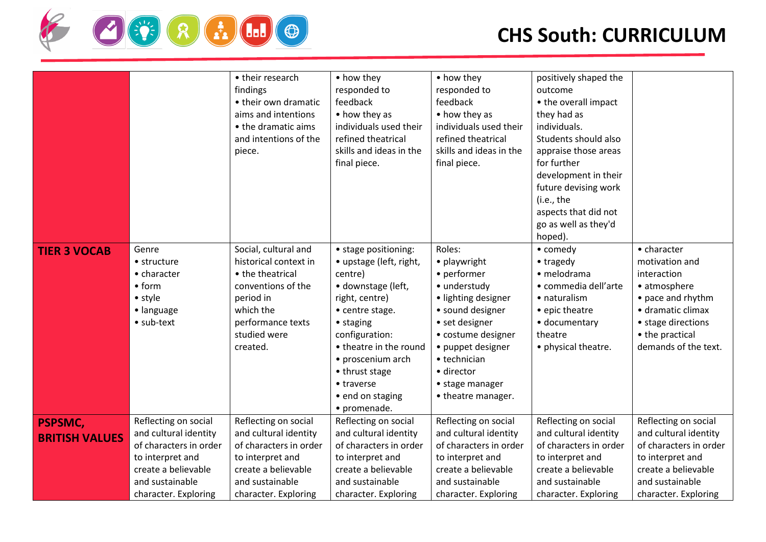

|                                         |                                                                                                                                                               | • their research<br>findings<br>• their own dramatic<br>aims and intentions<br>• the dramatic aims<br>and intentions of the<br>piece.                              | • how they<br>responded to<br>feedback<br>• how they as<br>individuals used their<br>refined theatrical<br>skills and ideas in the<br>final piece.                                                                                                                      | • how they<br>responded to<br>feedback<br>• how they as<br>individuals used their<br>refined theatrical<br>skills and ideas in the<br>final piece.                                                                                   | positively shaped the<br>outcome<br>• the overall impact<br>they had as<br>individuals.<br>Students should also<br>appraise those areas<br>for further<br>development in their<br>future devising work<br>(i.e., the<br>aspects that did not<br>go as well as they'd<br>hoped). |                                                                                                                                                                         |
|-----------------------------------------|---------------------------------------------------------------------------------------------------------------------------------------------------------------|--------------------------------------------------------------------------------------------------------------------------------------------------------------------|-------------------------------------------------------------------------------------------------------------------------------------------------------------------------------------------------------------------------------------------------------------------------|--------------------------------------------------------------------------------------------------------------------------------------------------------------------------------------------------------------------------------------|---------------------------------------------------------------------------------------------------------------------------------------------------------------------------------------------------------------------------------------------------------------------------------|-------------------------------------------------------------------------------------------------------------------------------------------------------------------------|
| <b>TIER 3 VOCAB</b>                     | Genre<br>• structure<br>• character<br>• <sub>form</sub><br>• style<br>• language<br>· sub-text                                                               | Social, cultural and<br>historical context in<br>• the theatrical<br>conventions of the<br>period in<br>which the<br>performance texts<br>studied were<br>created. | • stage positioning:<br>• upstage (left, right,<br>centre)<br>· downstage (left,<br>right, centre)<br>• centre stage.<br>• staging<br>configuration:<br>• theatre in the round<br>• proscenium arch<br>• thrust stage<br>• traverse<br>• end on staging<br>• promenade. | Roles:<br>• playwright<br>• performer<br>• understudy<br>· lighting designer<br>• sound designer<br>• set designer<br>• costume designer<br>· puppet designer<br>• technician<br>· director<br>• stage manager<br>• theatre manager. | • comedy<br>• tragedy<br>· melodrama<br>• commedia dell'arte<br>• naturalism<br>• epic theatre<br>· documentary<br>theatre<br>• physical theatre.                                                                                                                               | • character<br>motivation and<br>interaction<br>• atmosphere<br>• pace and rhythm<br>· dramatic climax<br>• stage directions<br>• the practical<br>demands of the text. |
| <b>PSPSMC,</b><br><b>BRITISH VALUES</b> | Reflecting on social<br>and cultural identity<br>of characters in order<br>to interpret and<br>create a believable<br>and sustainable<br>character. Exploring | Reflecting on social<br>and cultural identity<br>of characters in order<br>to interpret and<br>create a believable<br>and sustainable<br>character. Exploring      | Reflecting on social<br>and cultural identity<br>of characters in order<br>to interpret and<br>create a believable<br>and sustainable<br>character. Exploring                                                                                                           | Reflecting on social<br>and cultural identity<br>of characters in order<br>to interpret and<br>create a believable<br>and sustainable<br>character. Exploring                                                                        | Reflecting on social<br>and cultural identity<br>of characters in order<br>to interpret and<br>create a believable<br>and sustainable<br>character. Exploring                                                                                                                   | Reflecting on social<br>and cultural identity<br>of characters in order<br>to interpret and<br>create a believable<br>and sustainable<br>character. Exploring           |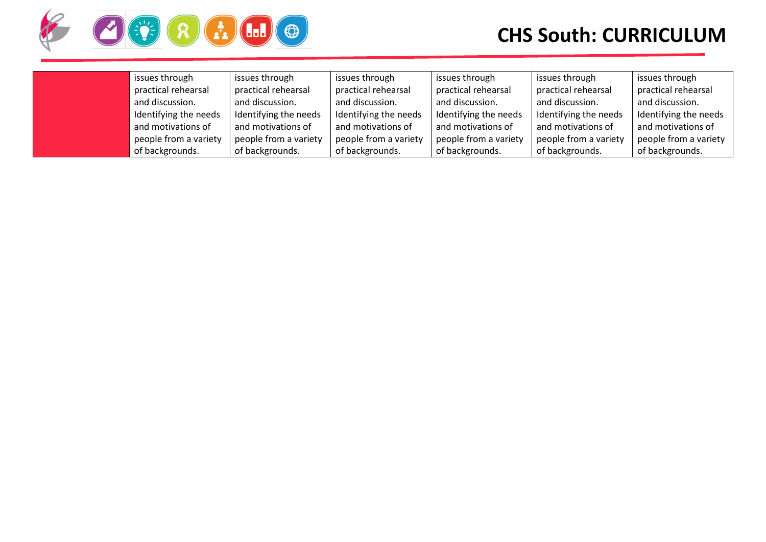

| issues through        | issues through        | issues through        | issues through        | issues through        | issues through        |
|-----------------------|-----------------------|-----------------------|-----------------------|-----------------------|-----------------------|
| practical rehearsal   | practical rehearsal   | practical rehearsal   | practical rehearsal   | practical rehearsal   | practical rehearsal   |
| and discussion.       | and discussion.       | and discussion.       | and discussion.       | and discussion.       | and discussion.       |
| Identifying the needs | Identifying the needs | Identifying the needs | Identifying the needs | Identifying the needs | Identifying the needs |
| and motivations of    | and motivations of    | and motivations of    | and motivations of    | and motivations of    | and motivations of    |
| people from a variety | people from a variety | people from a variety | people from a variety | people from a variety | people from a variety |
| of backgrounds.       | of backgrounds.       | of backgrounds.       | of backgrounds.       | of backgrounds.       | of backgrounds.       |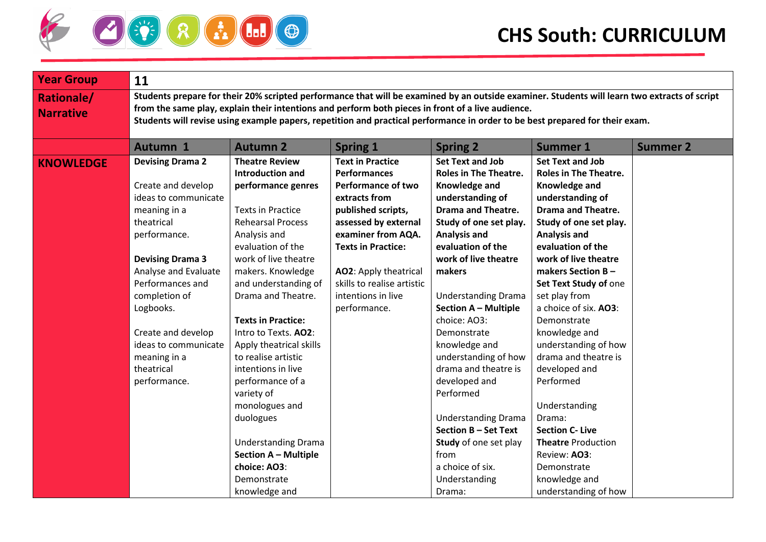

| <b>Year Group</b><br>11                                                                                                                                                                                                                                                                                                                  |                                                                                                                                                                                                                                                                                                                                                                                                                                                                                                                                                                           |                                                                                                                                                                                                                                                                                                   |                                                                                                                                                                                                                                                                                                                                                                                                                                                                                                                                                                    |                                                                                                                                                                                                                                                                                                                                                                                                                                                                                                                                                                                            |                 |  |  |  |
|------------------------------------------------------------------------------------------------------------------------------------------------------------------------------------------------------------------------------------------------------------------------------------------------------------------------------------------|---------------------------------------------------------------------------------------------------------------------------------------------------------------------------------------------------------------------------------------------------------------------------------------------------------------------------------------------------------------------------------------------------------------------------------------------------------------------------------------------------------------------------------------------------------------------------|---------------------------------------------------------------------------------------------------------------------------------------------------------------------------------------------------------------------------------------------------------------------------------------------------|--------------------------------------------------------------------------------------------------------------------------------------------------------------------------------------------------------------------------------------------------------------------------------------------------------------------------------------------------------------------------------------------------------------------------------------------------------------------------------------------------------------------------------------------------------------------|--------------------------------------------------------------------------------------------------------------------------------------------------------------------------------------------------------------------------------------------------------------------------------------------------------------------------------------------------------------------------------------------------------------------------------------------------------------------------------------------------------------------------------------------------------------------------------------------|-----------------|--|--|--|
| <b>Rationale/</b><br><b>Narrative</b>                                                                                                                                                                                                                                                                                                    | Students prepare for their 20% scripted performance that will be examined by an outside examiner. Students will learn two extracts of script<br>from the same play, explain their intentions and perform both pieces in front of a live audience.<br>Students will revise using example papers, repetition and practical performance in order to be best prepared for their exam.                                                                                                                                                                                         |                                                                                                                                                                                                                                                                                                   |                                                                                                                                                                                                                                                                                                                                                                                                                                                                                                                                                                    |                                                                                                                                                                                                                                                                                                                                                                                                                                                                                                                                                                                            |                 |  |  |  |
| <b>Autumn 1</b>                                                                                                                                                                                                                                                                                                                          | <b>Autumn 2</b>                                                                                                                                                                                                                                                                                                                                                                                                                                                                                                                                                           | <b>Spring 1</b>                                                                                                                                                                                                                                                                                   | <b>Spring 2</b>                                                                                                                                                                                                                                                                                                                                                                                                                                                                                                                                                    | <b>Summer 1</b>                                                                                                                                                                                                                                                                                                                                                                                                                                                                                                                                                                            | <b>Summer 2</b> |  |  |  |
| <b>Devising Drama 2</b><br><b>KNOWLEDGE</b><br>Create and develop<br>ideas to communicate<br>meaning in a<br>theatrical<br>performance.<br><b>Devising Drama 3</b><br>Analyse and Evaluate<br>Performances and<br>completion of<br>Logbooks.<br>Create and develop<br>ideas to communicate<br>meaning in a<br>theatrical<br>performance. | <b>Theatre Review</b><br><b>Introduction and</b><br>performance genres<br><b>Texts in Practice</b><br><b>Rehearsal Process</b><br>Analysis and<br>evaluation of the<br>work of live theatre<br>makers. Knowledge<br>and understanding of<br>Drama and Theatre.<br><b>Texts in Practice:</b><br>Intro to Texts. AO2:<br>Apply theatrical skills<br>to realise artistic<br>intentions in live<br>performance of a<br>variety of<br>monologues and<br>duologues<br><b>Understanding Drama</b><br><b>Section A - Multiple</b><br>choice: AO3:<br>Demonstrate<br>knowledge and | <b>Text in Practice</b><br><b>Performances</b><br><b>Performance of two</b><br>extracts from<br>published scripts,<br>assessed by external<br>examiner from AQA.<br><b>Texts in Practice:</b><br><b>AO2:</b> Apply theatrical<br>skills to realise artistic<br>intentions in live<br>performance. | <b>Set Text and Job</b><br><b>Roles in The Theatre.</b><br>Knowledge and<br>understanding of<br><b>Drama and Theatre.</b><br>Study of one set play.<br><b>Analysis and</b><br>evaluation of the<br>work of live theatre<br>makers<br><b>Understanding Drama</b><br><b>Section A - Multiple</b><br>choice: AO3:<br>Demonstrate<br>knowledge and<br>understanding of how<br>drama and theatre is<br>developed and<br>Performed<br><b>Understanding Drama</b><br>Section B - Set Text<br>Study of one set play<br>from<br>a choice of six.<br>Understanding<br>Drama: | <b>Set Text and Job</b><br><b>Roles in The Theatre.</b><br>Knowledge and<br>understanding of<br><b>Drama and Theatre.</b><br>Study of one set play.<br><b>Analysis and</b><br>evaluation of the<br>work of live theatre<br>makers Section $B -$<br>Set Text Study of one<br>set play from<br>a choice of six. AO3:<br>Demonstrate<br>knowledge and<br>understanding of how<br>drama and theatre is<br>developed and<br>Performed<br>Understanding<br>Drama:<br><b>Section C- Live</b><br><b>Theatre Production</b><br>Review: AO3:<br>Demonstrate<br>knowledge and<br>understanding of how |                 |  |  |  |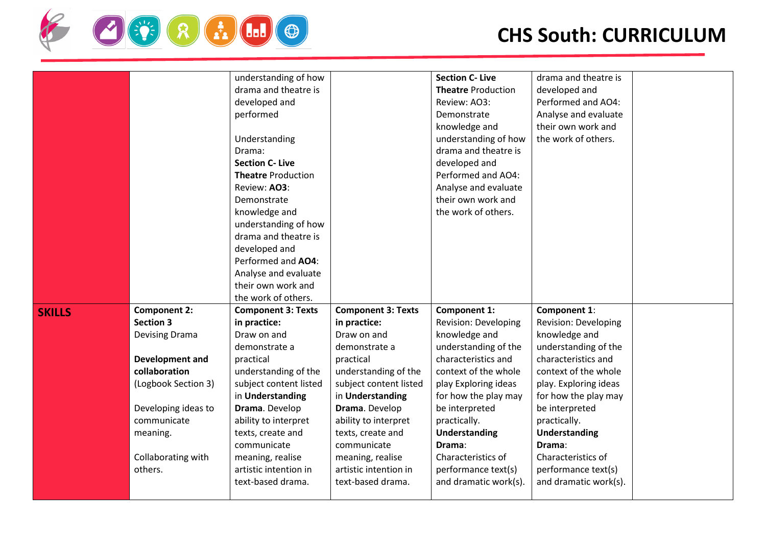

|               |                        | understanding of how      |                           | <b>Section C- Live</b>      | drama and theatre is        |  |
|---------------|------------------------|---------------------------|---------------------------|-----------------------------|-----------------------------|--|
|               |                        | drama and theatre is      |                           | <b>Theatre Production</b>   | developed and               |  |
|               |                        | developed and             |                           | Review: AO3:                | Performed and AO4:          |  |
|               |                        | performed                 |                           | Demonstrate                 | Analyse and evaluate        |  |
|               |                        |                           |                           | knowledge and               | their own work and          |  |
|               |                        | Understanding             |                           | understanding of how        | the work of others.         |  |
|               |                        | Drama:                    |                           | drama and theatre is        |                             |  |
|               |                        | <b>Section C- Live</b>    |                           | developed and               |                             |  |
|               |                        | <b>Theatre Production</b> |                           | Performed and AO4:          |                             |  |
|               |                        | Review: AO3:              |                           | Analyse and evaluate        |                             |  |
|               |                        | Demonstrate               |                           | their own work and          |                             |  |
|               |                        | knowledge and             |                           | the work of others.         |                             |  |
|               |                        | understanding of how      |                           |                             |                             |  |
|               |                        | drama and theatre is      |                           |                             |                             |  |
|               |                        | developed and             |                           |                             |                             |  |
|               |                        | Performed and AO4:        |                           |                             |                             |  |
|               |                        | Analyse and evaluate      |                           |                             |                             |  |
|               |                        | their own work and        |                           |                             |                             |  |
|               |                        | the work of others.       |                           |                             |                             |  |
| <b>SKILLS</b> | <b>Component 2:</b>    | <b>Component 3: Texts</b> | <b>Component 3: Texts</b> | <b>Component 1:</b>         | Component 1:                |  |
|               | <b>Section 3</b>       | in practice:              | in practice:              | <b>Revision: Developing</b> | <b>Revision: Developing</b> |  |
|               | <b>Devising Drama</b>  | Draw on and               | Draw on and               | knowledge and               | knowledge and               |  |
|               |                        | demonstrate a             | demonstrate a             | understanding of the        | understanding of the        |  |
|               | <b>Development and</b> | practical                 | practical                 | characteristics and         | characteristics and         |  |
|               | collaboration          | understanding of the      | understanding of the      | context of the whole        | context of the whole        |  |
|               | (Logbook Section 3)    | subject content listed    | subject content listed    | play Exploring ideas        | play. Exploring ideas       |  |
|               |                        | in Understanding          | in Understanding          | for how the play may        | for how the play may        |  |
|               | Developing ideas to    | Drama. Develop            | Drama. Develop            | be interpreted              | be interpreted              |  |
|               | communicate            | ability to interpret      | ability to interpret      | practically.                | practically.                |  |
|               | meaning.               | texts, create and         | texts, create and         | Understanding               | Understanding               |  |
|               |                        | communicate               | communicate               | Drama:                      | Drama:                      |  |
|               | Collaborating with     | meaning, realise          | meaning, realise          | Characteristics of          | Characteristics of          |  |
|               | others.                | artistic intention in     | artistic intention in     | performance text(s)         | performance text(s)         |  |
|               |                        | text-based drama.         | text-based drama.         | and dramatic work(s).       | and dramatic work(s).       |  |
|               |                        |                           |                           |                             |                             |  |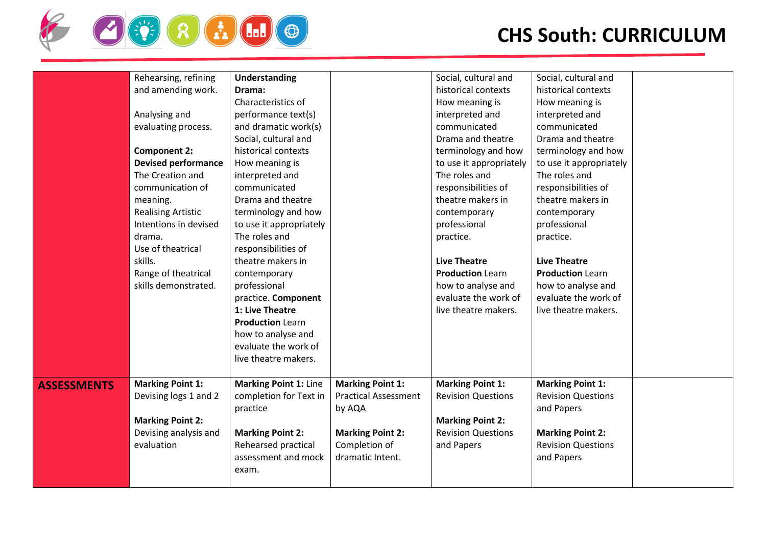

|                    | Rehearsing, refining       | <b>Understanding</b>         |                             | Social, cultural and      | Social, cultural and      |  |
|--------------------|----------------------------|------------------------------|-----------------------------|---------------------------|---------------------------|--|
|                    | and amending work.         | Drama:                       |                             | historical contexts       | historical contexts       |  |
|                    |                            | Characteristics of           |                             | How meaning is            | How meaning is            |  |
|                    | Analysing and              | performance text(s)          |                             | interpreted and           | interpreted and           |  |
|                    | evaluating process.        | and dramatic work(s)         |                             | communicated              | communicated              |  |
|                    |                            | Social, cultural and         |                             | Drama and theatre         | Drama and theatre         |  |
|                    | <b>Component 2:</b>        | historical contexts          |                             | terminology and how       | terminology and how       |  |
|                    | <b>Devised performance</b> | How meaning is               |                             | to use it appropriately   | to use it appropriately   |  |
|                    | The Creation and           | interpreted and              |                             | The roles and             | The roles and             |  |
|                    | communication of           | communicated                 |                             | responsibilities of       | responsibilities of       |  |
|                    | meaning.                   | Drama and theatre            |                             | theatre makers in         | theatre makers in         |  |
|                    | <b>Realising Artistic</b>  | terminology and how          |                             | contemporary              | contemporary              |  |
|                    | Intentions in devised      | to use it appropriately      |                             | professional              | professional              |  |
|                    | drama.                     | The roles and                |                             | practice.                 | practice.                 |  |
|                    | Use of theatrical          | responsibilities of          |                             |                           |                           |  |
|                    | skills.                    | theatre makers in            |                             | <b>Live Theatre</b>       | <b>Live Theatre</b>       |  |
|                    | Range of theatrical        | contemporary                 |                             | <b>Production Learn</b>   | <b>Production Learn</b>   |  |
|                    | skills demonstrated.       | professional                 |                             | how to analyse and        | how to analyse and        |  |
|                    |                            | practice. Component          |                             | evaluate the work of      | evaluate the work of      |  |
|                    |                            | 1: Live Theatre              |                             | live theatre makers.      | live theatre makers.      |  |
|                    |                            | <b>Production Learn</b>      |                             |                           |                           |  |
|                    |                            | how to analyse and           |                             |                           |                           |  |
|                    |                            | evaluate the work of         |                             |                           |                           |  |
|                    |                            | live theatre makers.         |                             |                           |                           |  |
|                    |                            |                              |                             |                           |                           |  |
| <b>ASSESSMENTS</b> | <b>Marking Point 1:</b>    | <b>Marking Point 1: Line</b> | <b>Marking Point 1:</b>     | <b>Marking Point 1:</b>   | <b>Marking Point 1:</b>   |  |
|                    | Devising logs 1 and 2      | completion for Text in       | <b>Practical Assessment</b> | <b>Revision Questions</b> | <b>Revision Questions</b> |  |
|                    |                            | practice                     | by AQA                      |                           | and Papers                |  |
|                    | <b>Marking Point 2:</b>    |                              |                             | <b>Marking Point 2:</b>   |                           |  |
|                    | Devising analysis and      | <b>Marking Point 2:</b>      | <b>Marking Point 2:</b>     | <b>Revision Questions</b> | <b>Marking Point 2:</b>   |  |
|                    | evaluation                 | Rehearsed practical          | Completion of               | and Papers                | <b>Revision Questions</b> |  |
|                    |                            | assessment and mock          | dramatic Intent.            |                           | and Papers                |  |
|                    |                            | exam.                        |                             |                           |                           |  |
|                    |                            |                              |                             |                           |                           |  |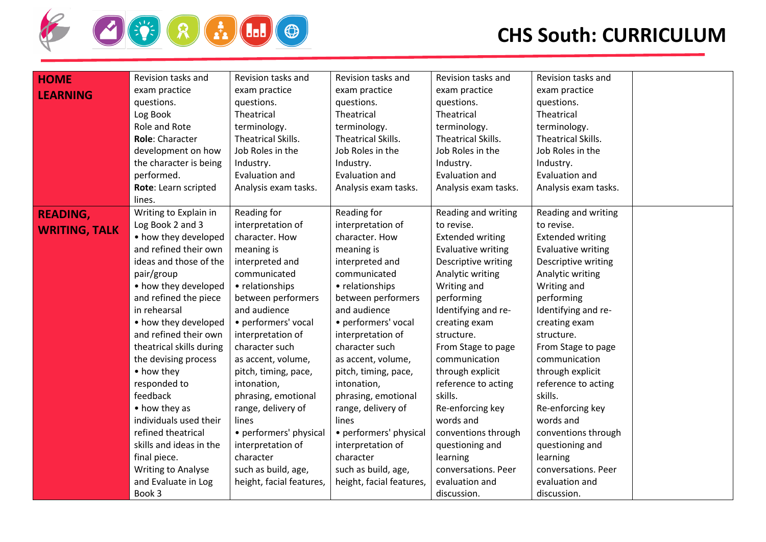

| <b>HOME</b>          | Revision tasks and       | Revision tasks and       | Revision tasks and       | Revision tasks and        | Revision tasks and        |
|----------------------|--------------------------|--------------------------|--------------------------|---------------------------|---------------------------|
|                      | exam practice            | exam practice            | exam practice            | exam practice             | exam practice             |
| <b>LEARNING</b>      | questions.               | questions.               | questions.               | questions.                | questions.                |
|                      | Log Book                 | Theatrical               | Theatrical               | Theatrical                | Theatrical                |
|                      | Role and Rote            | terminology.             | terminology.             | terminology.              | terminology.              |
|                      | <b>Role: Character</b>   | Theatrical Skills.       | Theatrical Skills.       | Theatrical Skills.        | Theatrical Skills.        |
|                      | development on how       | Job Roles in the         | Job Roles in the         | Job Roles in the          | Job Roles in the          |
|                      | the character is being   | Industry.                | Industry.                | Industry.                 | Industry.                 |
|                      | performed.               | Evaluation and           | Evaluation and           | Evaluation and            | Evaluation and            |
|                      | Rote: Learn scripted     | Analysis exam tasks.     | Analysis exam tasks.     | Analysis exam tasks.      | Analysis exam tasks.      |
|                      | lines.                   |                          |                          |                           |                           |
| <b>READING,</b>      | Writing to Explain in    | Reading for              | Reading for              | Reading and writing       | Reading and writing       |
| <b>WRITING, TALK</b> | Log Book 2 and 3         | interpretation of        | interpretation of        | to revise.                | to revise.                |
|                      | • how they developed     | character. How           | character. How           | <b>Extended writing</b>   | <b>Extended writing</b>   |
|                      | and refined their own    | meaning is               | meaning is               | <b>Evaluative writing</b> | <b>Evaluative writing</b> |
|                      | ideas and those of the   | interpreted and          | interpreted and          | Descriptive writing       | Descriptive writing       |
|                      | pair/group               | communicated             | communicated             | Analytic writing          | Analytic writing          |
|                      | • how they developed     | • relationships          | • relationships          | Writing and               | Writing and               |
|                      | and refined the piece    | between performers       | between performers       | performing                | performing                |
|                      | in rehearsal             | and audience             | and audience             | Identifying and re-       | Identifying and re-       |
|                      | • how they developed     | • performers' vocal      | • performers' vocal      | creating exam             | creating exam             |
|                      | and refined their own    | interpretation of        | interpretation of        | structure.                | structure.                |
|                      | theatrical skills during | character such           | character such           | From Stage to page        | From Stage to page        |
|                      | the devising process     | as accent, volume,       | as accent, volume,       | communication             | communication             |
|                      | • how they               | pitch, timing, pace,     | pitch, timing, pace,     | through explicit          | through explicit          |
|                      | responded to             | intonation,              | intonation,              | reference to acting       | reference to acting       |
|                      | feedback                 | phrasing, emotional      | phrasing, emotional      | skills.                   | skills.                   |
|                      | • how they as            | range, delivery of       | range, delivery of       | Re-enforcing key          | Re-enforcing key          |
|                      | individuals used their   | lines                    | lines                    | words and                 | words and                 |
|                      | refined theatrical       | • performers' physical   | • performers' physical   | conventions through       | conventions through       |
|                      | skills and ideas in the  | interpretation of        | interpretation of        | questioning and           | questioning and           |
|                      | final piece.             | character                | character                | learning                  | learning                  |
|                      | Writing to Analyse       | such as build, age,      | such as build, age,      | conversations. Peer       | conversations. Peer       |
|                      | and Evaluate in Log      | height, facial features, | height, facial features, | evaluation and            | evaluation and            |
|                      | Book 3                   |                          |                          | discussion.               | discussion.               |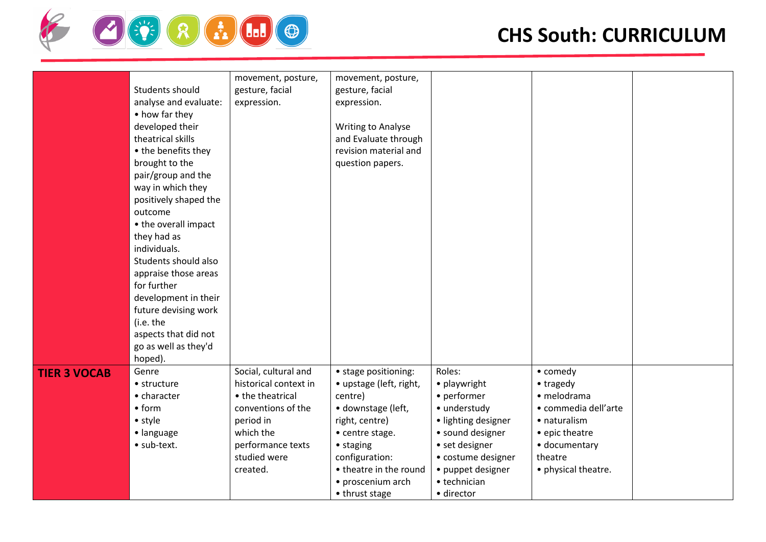

|                     |                       | movement, posture,    | movement, posture,        |                     |                      |  |
|---------------------|-----------------------|-----------------------|---------------------------|---------------------|----------------------|--|
|                     | Students should       | gesture, facial       | gesture, facial           |                     |                      |  |
|                     | analyse and evaluate: | expression.           | expression.               |                     |                      |  |
|                     | • how far they        |                       |                           |                     |                      |  |
|                     | developed their       |                       | <b>Writing to Analyse</b> |                     |                      |  |
|                     | theatrical skills     |                       | and Evaluate through      |                     |                      |  |
|                     | • the benefits they   |                       | revision material and     |                     |                      |  |
|                     | brought to the        |                       | question papers.          |                     |                      |  |
|                     | pair/group and the    |                       |                           |                     |                      |  |
|                     | way in which they     |                       |                           |                     |                      |  |
|                     | positively shaped the |                       |                           |                     |                      |  |
|                     | outcome               |                       |                           |                     |                      |  |
|                     | • the overall impact  |                       |                           |                     |                      |  |
|                     | they had as           |                       |                           |                     |                      |  |
|                     | individuals.          |                       |                           |                     |                      |  |
|                     | Students should also  |                       |                           |                     |                      |  |
|                     | appraise those areas  |                       |                           |                     |                      |  |
|                     | for further           |                       |                           |                     |                      |  |
|                     | development in their  |                       |                           |                     |                      |  |
|                     | future devising work  |                       |                           |                     |                      |  |
|                     | (i.e. the             |                       |                           |                     |                      |  |
|                     | aspects that did not  |                       |                           |                     |                      |  |
|                     | go as well as they'd  |                       |                           |                     |                      |  |
|                     | hoped).               |                       |                           |                     |                      |  |
| <b>TIER 3 VOCAB</b> | Genre                 | Social, cultural and  | • stage positioning:      | Roles:              | • comedy             |  |
|                     | • structure           | historical context in | • upstage (left, right,   | • playwright        | • tragedy            |  |
|                     | • character           | • the theatrical      | centre)                   | • performer         | · melodrama          |  |
|                     | • <sub>form</sub>     | conventions of the    | · downstage (left,        | · understudy        | · commedia dell'arte |  |
|                     | • style               | period in             | right, centre)            | · lighting designer | • naturalism         |  |
|                     | · language            | which the             | • centre stage.           | • sound designer    | • epic theatre       |  |
|                     | · sub-text.           | performance texts     | • staging                 | • set designer      | · documentary        |  |
|                     |                       | studied were          | configuration:            | • costume designer  | theatre              |  |
|                     |                       | created.              | • theatre in the round    | • puppet designer   | • physical theatre.  |  |
|                     |                       |                       | • proscenium arch         | • technician        |                      |  |
|                     |                       |                       | • thrust stage            | · director          |                      |  |